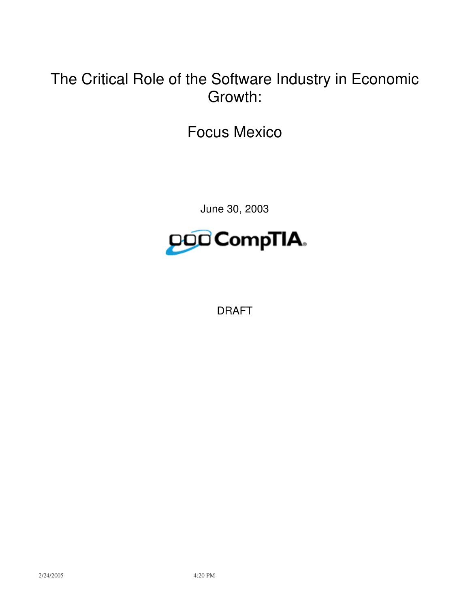# The Critical Role of the Software Industry in Economic Growth:

Focus Mexico

June 30, 2003



DRAFT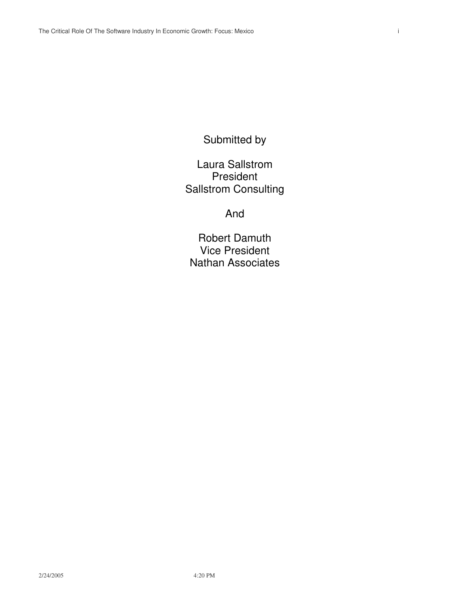Submitted by

Laura Sallstrom President Sallstrom Consulting

And

Robert Damuth Vice President Nathan Associates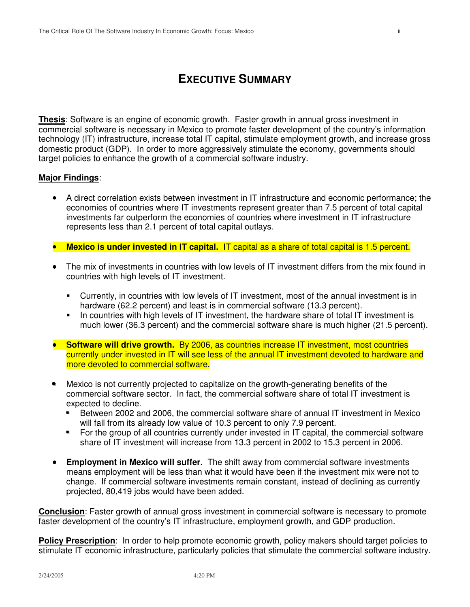**Thesis**: Software is an engine of economic growth. Faster growth in annual gross investment in commercial software is necessary in Mexico to promote faster development of the country's information technology (IT) infrastructure, increase total IT capital, stimulate employment growth, and increase gross domestic product (GDP). In order to more aggressively stimulate the economy, governments should target policies to enhance the growth of a commercial software industry.

### **Major Findings**:

- A direct correlation exists between investment in IT infrastructure and economic performance; the economies of countries where IT investments represent greater than 7.5 percent of total capital investments far outperform the economies of countries where investment in IT infrastructure represents less than 2.1 percent of total capital outlays.
- **Mexico is under invested in IT capital.** IT capital as a share of total capital is 1.5 percent.
- The mix of investments in countries with low levels of IT investment differs from the mix found in countries with high levels of IT investment.
	- Currently, in countries with low levels of IT investment, most of the annual investment is in hardware (62.2 percent) and least is in commercial software (13.3 percent).
	- In countries with high levels of IT investment, the hardware share of total IT investment is much lower (36.3 percent) and the commercial software share is much higher (21.5 percent).
- **Software will drive growth.** By 2006, as countries increase IT investment, most countries currently under invested in IT will see less of the annual IT investment devoted to hardware and more devoted to commercial software.
- Mexico is not currently projected to capitalize on the growth-generating benefits of the commercial software sector. In fact, the commercial software share of total IT investment is expected to decline.
	- Between 2002 and 2006, the commercial software share of annual IT investment in Mexico will fall from its already low value of 10.3 percent to only 7.9 percent.
	- For the group of all countries currently under invested in IT capital, the commercial software share of IT investment will increase from 13.3 percent in 2002 to 15.3 percent in 2006.
- **Employment in Mexico will suffer.** The shift away from commercial software investments means employment will be less than what it would have been if the investment mix were not to change. If commercial software investments remain constant, instead of declining as currently projected, 80,419 jobs would have been added.

**Conclusion**: Faster growth of annual gross investment in commercial software is necessary to promote faster development of the country's IT infrastructure, employment growth, and GDP production.

**Policy Prescription**: In order to help promote economic growth, policy makers should target policies to stimulate IT economic infrastructure, particularly policies that stimulate the commercial software industry.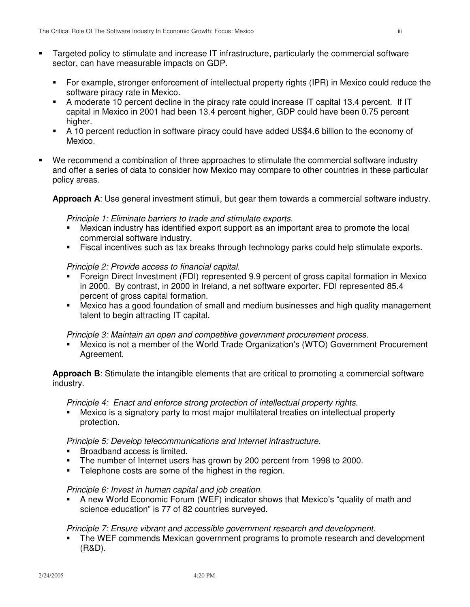- Targeted policy to stimulate and increase IT infrastructure, particularly the commercial software sector, can have measurable impacts on GDP.
	- For example, stronger enforcement of intellectual property rights (IPR) in Mexico could reduce the software piracy rate in Mexico.
	- A moderate 10 percent decline in the piracy rate could increase IT capital 13.4 percent. If IT capital in Mexico in 2001 had been 13.4 percent higher, GDP could have been 0.75 percent higher.
	- A 10 percent reduction in software piracy could have added US\$4.6 billion to the economy of Mexico.
- We recommend a combination of three approaches to stimulate the commercial software industry and offer a series of data to consider how Mexico may compare to other countries in these particular policy areas.

**Approach A**: Use general investment stimuli, but gear them towards a commercial software industry.

*Principle 1: Eliminate barriers to trade and stimulate exports.*

- Mexican industry has identified export support as an important area to promote the local commercial software industry.
- Fiscal incentives such as tax breaks through technology parks could help stimulate exports.

### *Principle 2: Provide access to financial capital.*

- Foreign Direct Investment (FDI) represented 9.9 percent of gross capital formation in Mexico in 2000. By contrast, in 2000 in Ireland, a net software exporter, FDI represented 85.4 percent of gross capital formation.
- Mexico has a good foundation of small and medium businesses and high quality management talent to begin attracting IT capital.

*Principle 3: Maintain an open and competitive government procurement process.*

 Mexico is not a member of the World Trade Organization's (WTO) Government Procurement Agreement.

**Approach B**: Stimulate the intangible elements that are critical to promoting a commercial software industry.

*Principle 4: Enact and enforce strong protection of intellectual property rights.*

 Mexico is a signatory party to most major multilateral treaties on intellectual property protection.

*Principle 5: Develop telecommunications and Internet infrastructure.*

- Broadband access is limited.
- The number of Internet users has grown by 200 percent from 1998 to 2000.
- Telephone costs are some of the highest in the region.

### *Principle 6: Invest in human capital and job creation.*

 A new World Economic Forum (WEF) indicator shows that Mexico's "quality of math and science education" is 77 of 82 countries surveyed.

*Principle 7: Ensure vibrant and accessible government research and development*.

 The WEF commends Mexican government programs to promote research and development (R&D).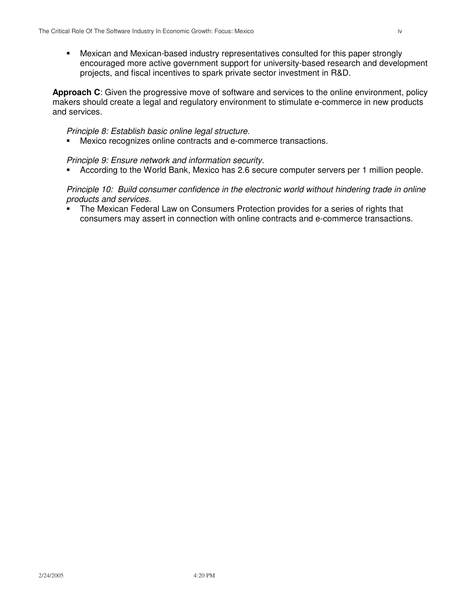Mexican and Mexican-based industry representatives consulted for this paper strongly encouraged more active government support for university-based research and development projects, and fiscal incentives to spark private sector investment in R&D.

**Approach C**: Given the progressive move of software and services to the online environment, policy makers should create a legal and regulatory environment to stimulate e-commerce in new products and services.

### *Principle 8: Establish basic online legal structure.*

Mexico recognizes online contracts and e-commerce transactions.

*Principle 9: Ensure network and information security.*

According to the World Bank, Mexico has 2.6 secure computer servers per 1 million people.

*Principle 10: Build consumer confidence in the electronic world without hindering trade in online products and services.*

 The Mexican Federal Law on Consumers Protection provides for a series of rights that consumers may assert in connection with online contracts and e-commerce transactions.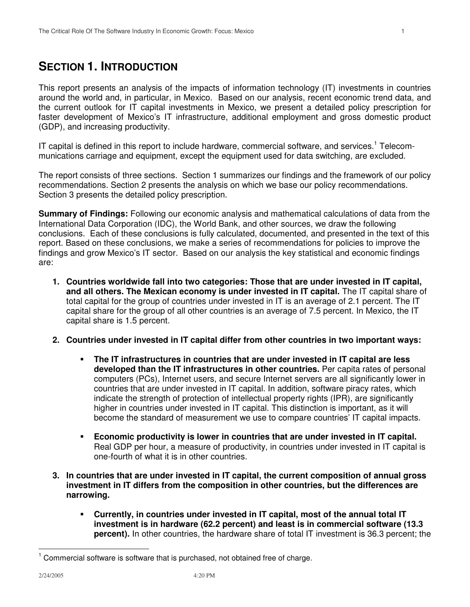# **SECTION 1. INTRODUCTION**

This report presents an analysis of the impacts of information technology (IT) investments in countries around the world and, in particular, in Mexico. Based on our analysis, recent economic trend data, and the current outlook for IT capital investments in Mexico, we present a detailed policy prescription for faster development of Mexico's IT infrastructure, additional employment and gross domestic product (GDP), and increasing productivity.

IT capital is defined in this report to include hardware, commercial software, and services.<sup>1</sup> Telecommunications carriage and equipment, except the equipment used for data switching, are excluded.

The report consists of three sections. Section 1 summarizes our findings and the framework of our policy recommendations. Section 2 presents the analysis on which we base our policy recommendations. Section 3 presents the detailed policy prescription.

**Summary of Findings:** Following our economic analysis and mathematical calculations of data from the International Data Corporation (IDC), the World Bank, and other sources, we draw the following conclusions. Each of these conclusions is fully calculated, documented, and presented in the text of this report. Based on these conclusions, we make a series of recommendations for policies to improve the findings and grow Mexico's IT sector. Based on our analysis the key statistical and economic findings are:

- **1. Countries worldwide fall into two categories: Those that are under invested in IT capital, and all others. The Mexican economy is under invested in IT capital.** The IT capital share of total capital for the group of countries under invested in IT is an average of 2.1 percent. The IT capital share for the group of all other countries is an average of 7.5 percent. In Mexico, the IT capital share is 1.5 percent.
- **2. Countries under invested in IT capital differ from other countries in two important ways:**
	- **The IT infrastructures in countries that are under invested in IT capital are less developed than the IT infrastructures in other countries.** Per capita rates of personal computers (PCs), Internet users, and secure Internet servers are all significantly lower in countries that are under invested in IT capital. In addition, software piracy rates, which indicate the strength of protection of intellectual property rights (IPR), are significantly higher in countries under invested in IT capital. This distinction is important, as it will become the standard of measurement we use to compare countries' IT capital impacts.
	- **Economic productivity is lower in countries that are under invested in IT capital.** Real GDP per hour, a measure of productivity, in countries under invested in IT capital is one-fourth of what it is in other countries.
- **3. In countries that are under invested in IT capital, the current composition of annual gross investment in IT differs from the composition in other countries, but the differences are narrowing.**
	- **Currently, in countries under invested in IT capital, most of the annual total IT investment is in hardware (62.2 percent) and least is in commercial software (13.3 percent).** In other countries, the hardware share of total IT investment is 36.3 percent; the

Commercial software is software that is purchased, not obtained free of charge.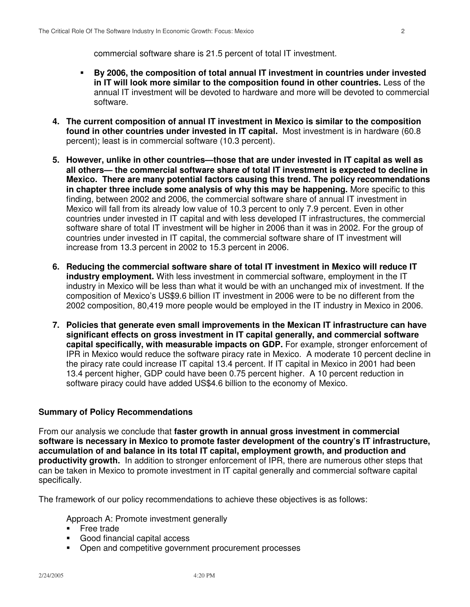commercial software share is 21.5 percent of total IT investment.

- **By 2006, the composition of total annual IT investment in countries under invested in IT will look more similar to the composition found in other countries.** Less of the annual IT investment will be devoted to hardware and more will be devoted to commercial software.
- **4. The current composition of annual IT investment in Mexico is similar to the composition found in other countries under invested in IT capital.** Most investment is in hardware (60.8 percent); least is in commercial software (10.3 percent).
- **5. However, unlike in other countries—those that are under invested in IT capital as well as all others— the commercial software share of total IT investment is expected to decline in Mexico. There are many potential factors causing this trend. The policy recommendations in chapter three include some analysis of why this may be happening.** More specific to this finding, between 2002 and 2006, the commercial software share of annual IT investment in Mexico will fall from its already low value of 10.3 percent to only 7.9 percent. Even in other countries under invested in IT capital and with less developed IT infrastructures, the commercial software share of total IT investment will be higher in 2006 than it was in 2002. For the group of countries under invested in IT capital, the commercial software share of IT investment will increase from 13.3 percent in 2002 to 15.3 percent in 2006.
- **6. Reducing the commercial software share of total IT investment in Mexico will reduce IT industry employment.** With less investment in commercial software, employment in the IT industry in Mexico will be less than what it would be with an unchanged mix of investment. If the composition of Mexico's US\$9.6 billion IT investment in 2006 were to be no different from the 2002 composition, 80,419 more people would be employed in the IT industry in Mexico in 2006.
- **7. Policies that generate even small improvements in the Mexican IT infrastructure can have significant effects on gross investment in IT capital generally, and commercial software capital specifically, with measurable impacts on GDP.** For example, stronger enforcement of IPR in Mexico would reduce the software piracy rate in Mexico. A moderate 10 percent decline in the piracy rate could increase IT capital 13.4 percent. If IT capital in Mexico in 2001 had been 13.4 percent higher, GDP could have been 0.75 percent higher. A 10 percent reduction in software piracy could have added US\$4.6 billion to the economy of Mexico.

### **Summary of Policy Recommendations**

From our analysis we conclude that **faster growth in annual gross investment in commercial software is necessary in Mexico to promote faster development of the country's IT infrastructure, accumulation of and balance in its total IT capital, employment growth, and production and productivity growth.** In addition to stronger enforcement of IPR, there are numerous other steps that can be taken in Mexico to promote investment in IT capital generally and commercial software capital specifically.

The framework of our policy recommendations to achieve these objectives is as follows:

Approach A: Promote investment generally

- Free trade
- Good financial capital access
- Open and competitive government procurement processes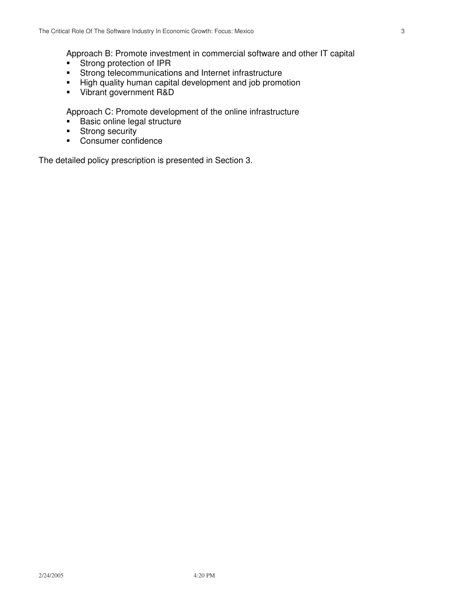Approach B: Promote investment in commercial software and other IT capital

- Strong protection of IPR<br>Strong telecommunication
- Strong telecommunications and Internet infrastructure
- **High quality human capital development and job promotion**
- Vibrant government R&D

Approach C: Promote development of the online infrastructure

- **Basic online legal structure**<br>
Strong security
- Strong security<br>Consumer confi
- Consumer confidence

The detailed policy prescription is presented in Section 3.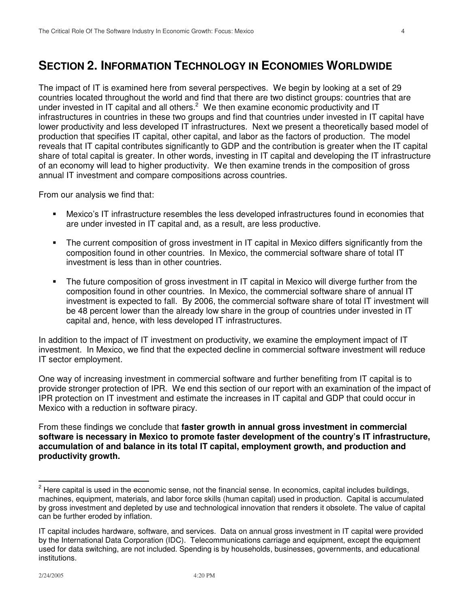# **SECTION 2. INFORMATION TECHNOLOGY IN ECONOMIES WORLDWIDE**

The impact of IT is examined here from several perspectives. We begin by looking at a set of 29 countries located throughout the world and find that there are two distinct groups: countries that are under invested in IT capital and all others. $^2$  We then examine economic productivity and IT infrastructures in countries in these two groups and find that countries under invested in IT capital have lower productivity and less developed IT infrastructures. Next we present a theoretically based model of production that specifies IT capital, other capital, and labor as the factors of production. The model reveals that IT capital contributes significantly to GDP and the contribution is greater when the IT capital share of total capital is greater. In other words, investing in IT capital and developing the IT infrastructure of an economy will lead to higher productivity. We then examine trends in the composition of gross annual IT investment and compare compositions across countries.

From our analysis we find that:

- Mexico's IT infrastructure resembles the less developed infrastructures found in economies that are under invested in IT capital and, as a result, are less productive.
- The current composition of gross investment in IT capital in Mexico differs significantly from the composition found in other countries. In Mexico, the commercial software share of total IT investment is less than in other countries.
- The future composition of gross investment in IT capital in Mexico will diverge further from the composition found in other countries. In Mexico, the commercial software share of annual IT investment is expected to fall. By 2006, the commercial software share of total IT investment will be 48 percent lower than the already low share in the group of countries under invested in IT capital and, hence, with less developed IT infrastructures.

In addition to the impact of IT investment on productivity, we examine the employment impact of IT investment. In Mexico, we find that the expected decline in commercial software investment will reduce IT sector employment.

One way of increasing investment in commercial software and further benefiting from IT capital is to provide stronger protection of IPR. We end this section of our report with an examination of the impact of IPR protection on IT investment and estimate the increases in IT capital and GDP that could occur in Mexico with a reduction in software piracy.

From these findings we conclude that **faster growth in annual gross investment in commercial software is necessary in Mexico to promote faster development of the country's IT infrastructure, accumulation of and balance in its total IT capital, employment growth, and production and productivity growth.**

 $2$  Here capital is used in the economic sense, not the financial sense. In economics, capital includes buildings, machines, equipment, materials, and labor force skills (human capital) used in production. Capital is accumulated by gross investment and depleted by use and technological innovation that renders it obsolete. The value of capital can be further eroded by inflation.

IT capital includes hardware, software, and services. Data on annual gross investment in IT capital were provided by the International Data Corporation (IDC). Telecommunications carriage and equipment, except the equipment used for data switching, are not included. Spending is by households, businesses, governments, and educational institutions.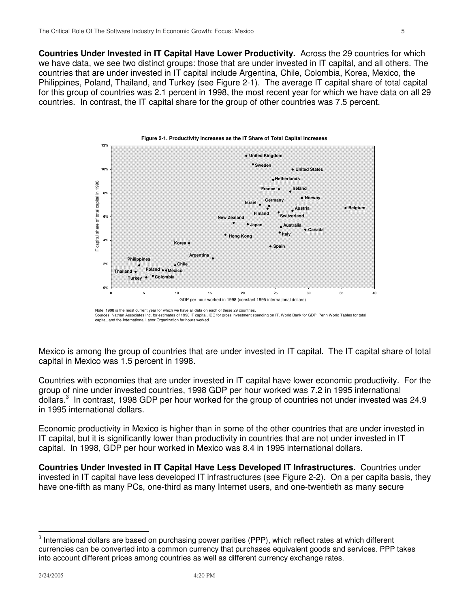**Countries Under Invested in IT Capital Have Lower Productivity.** Across the 29 countries for which we have data, we see two distinct groups: those that are under invested in IT capital, and all others. The countries that are under invested in IT capital include Argentina, Chile, Colombia, Korea, Mexico, the Philippines, Poland, Thailand, and Turkey (see Figure 2-1). The average IT capital share of total capital for this group of countries was 2.1 percent in 1998, the most recent year for which we have data on all 29 countries. In contrast, the IT capital share for the group of other countries was 7.5 percent.



Note: 1998 is the most current year for which we have all data on each of these 29 countries. Sources: Nathan Associates Inc. for estimates of 1998 IT capital, IDC for gross investment spending on IT, World Bank for GDP, Penn World Tables for total<br>capital, and the International Labor Organization for hours worked.

Mexico is among the group of countries that are under invested in IT capital. The IT capital share of total capital in Mexico was 1.5 percent in 1998.

Countries with economies that are under invested in IT capital have lower economic productivity. For the group of nine under invested countries, 1998 GDP per hour worked was 7.2 in 1995 international dollars.<sup>3</sup> In contrast, 1998 GDP per hour worked for the group of countries not under invested was 24.9 in 1995 international dollars.

Economic productivity in Mexico is higher than in some of the other countries that are under invested in IT capital, but it is significantly lower than productivity in countries that are not under invested in IT capital. In 1998, GDP per hour worked in Mexico was 8.4 in 1995 international dollars.

**Countries Under Invested in IT Capital Have Less Developed IT Infrastructures.** Countries under invested in IT capital have less developed IT infrastructures (see Figure 2-2). On a per capita basis, they have one-fifth as many PCs, one-third as many Internet users, and one-twentieth as many secure

 $^3$  International dollars are based on purchasing power parities (PPP), which reflect rates at which different currencies can be converted into a common currency that purchases equivalent goods and services. PPP takes into account different prices among countries as well as different currency exchange rates.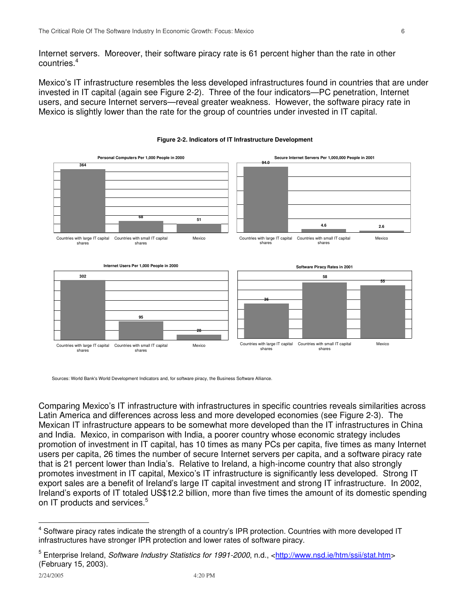Internet servers. Moreover, their software piracy rate is 61 percent higher than the rate in other countries. 4

Mexico's IT infrastructure resembles the less developed infrastructures found in countries that are under invested in IT capital (again see Figure 2-2). Three of the four indicators—PC penetration, Internet users, and secure Internet servers—reveal greater weakness. However, the software piracy rate in Mexico is slightly lower than the rate for the group of countries under invested in IT capital.



#### **Figure 2-2. Indicators of IT Infrastructure Development**

Sources: World Bank's World Development Indicators and, for software piracy, the Business Software Alliance.

Comparing Mexico's IT infrastructure with infrastructures in specific countries reveals similarities across Latin America and differences across less and more developed economies (see Figure 2-3). The Mexican IT infrastructure appears to be somewhat more developed than the IT infrastructures in China and India. Mexico, in comparison with India, a poorer country whose economic strategy includes promotion of investment in IT capital, has 10 times as many PCs per capita, five times as many Internet users per capita, 26 times the number of secure Internet servers per capita, and a software piracy rate that is 21 percent lower than India's. Relative to Ireland, a high-income country that also strongly promotes investment in IT capital, Mexico's IT infrastructure is significantly less developed. Strong IT export sales are a benefit of Ireland's large IT capital investment and strong IT infrastructure. In 2002, Ireland's exports of IT totaled US\$12.2 billion, more than five times the amount of its domestic spending on IT products and services.<sup>5</sup>

<sup>4</sup> Software piracy rates indicate the strength of a country's IPR protection. Countries with more developed IT infrastructures have stronger IPR protection and lower rates of software piracy.

<sup>5</sup> Enterprise Ireland, *Software Industry Statistics for 1991-2000*, n.d., <http://www.nsd.ie/htm/ssii/stat.htm> (February 15, 2003).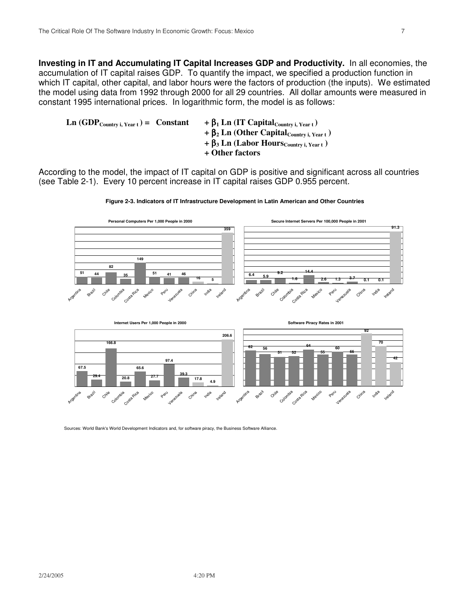**Investing in IT and Accumulating IT Capital Increases GDP and Productivity.** In all economies, the accumulation of IT capital raises GDP. To quantify the impact, we specified a production function in which IT capital, other capital, and labor hours were the factors of production (the inputs). We estimated the model using data from 1992 through 2000 for all 29 countries. All dollar amounts were measured in constant 1995 international prices. In logarithmic form, the model is as follows:

```
\text{Ln} (GDP<sub>Country</sub> i, \text{Year} t) = Constant + \beta_1 \text{Ln} (IT Capital<sub>Country</sub> i, \text{Year} t)
                                                          + β2 Ln (Other CapitalCountry i, Year t )
                                                          + \beta_3 Ln (Labor Hours \text{Country i, Year t})
                                                          + Other factors
```
According to the model, the impact of IT capital on GDP is positive and significant across all countries (see Table 2-1). Every 10 percent increase in IT capital raises GDP 0.955 percent.



**Figure 2-3. Indicators of IT Infrastructure Development in Latin American and Other Countries**

**67.5 29.4 20.8 65.6 27.7 97.4 39.3 17.8 4.9** Argentina Brazil Chile Colombia Costa Rica **Mexico** Peru Venezuela China **India Ireland 52 42 55 55 51** Argentina Brazil Chile Colombia Costa Rica Mexico Peru Venezuela China **India** Ireland

Sources: World Bank's World Development Indicators and, for software piracy, the Business Software Alliance.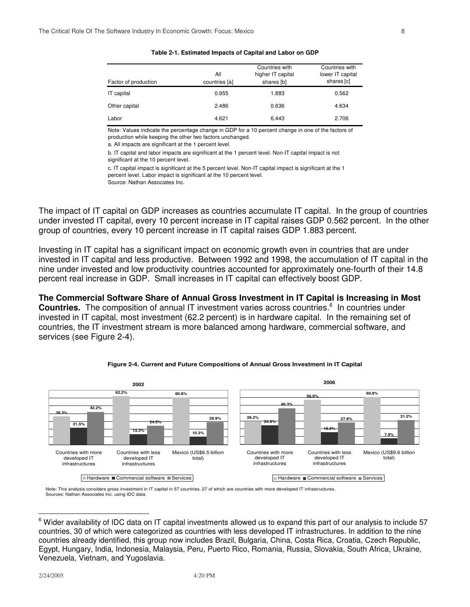| Factor of production | All<br>countries [a] | Countries with<br>higher IT capital<br>shares [b] | Countries with<br>lower IT capital<br>shares [c] |
|----------------------|----------------------|---------------------------------------------------|--------------------------------------------------|
| IT capital           | 0.955                | 1.883                                             | 0.562                                            |
| Other capital        | 2.486                | 0.636                                             | 4.634                                            |
| Labor                | 4.621                | 6.443                                             | 2.706                                            |

**Table 2-1. Estimated Impacts of Capital and Labor on GDP**

Note: Values indicate the percentage change in GDP for a 10 percent change in one of the factors of production while keeping the other two factors unchanged.

a. All impacts are significant at the 1 percent level.

b. IT capital and labor impacts are significant at the 1 percent level. Non-IT capital impact is not significant at the 10 percent level.

c. IT capital impact is significant at the 5 percent level. Non-IT capital impact is significant at the 1 percent level. Labor impact is significant at the 10 percent level.

Source: Nathan Associates Inc.

The impact of IT capital on GDP increases as countries accumulate IT capital. In the group of countries under invested IT capital, every 10 percent increase in IT capital raises GDP 0.562 percent. In the other group of countries, every 10 percent increase in IT capital raises GDP 1.883 percent.

Investing in IT capital has a significant impact on economic growth even in countries that are under invested in IT capital and less productive. Between 1992 and 1998, the accumulation of IT capital in the nine under invested and low productivity countries accounted for approximately one-fourth of their 14.8 percent real increase in GDP. Small increases in IT capital can effectively boost GDP.

**The Commercial Software Share of Annual Gross Investment in IT Capital is Increasing in Most Countries.** The composition of annual IT investment varies across countries. 6 In countries under invested in IT capital, most investment (62.2 percent) is in hardware capital. In the remaining set of countries, the IT investment stream is more balanced among hardware, commercial software, and services (see Figure 2-4).





Note: This analysis considers gross investment in IT capital in 57 countries, 27 of which are countries with more developed IT infrastructures. Sources: Nathan Associates Inc. using IDC data.

 $6$  Wider availability of IDC data on IT capital investments allowed us to expand this part of our analysis to include 57 countries, 30 of which were categorized as countries with less developed IT infrastructures. In addition to the nine countries already identified, this group now includes Brazil, Bulgaria, China, Costa Rica, Croatia, Czech Republic, Egypt, Hungary, India, Indonesia, Malaysia, Peru, Puerto Rico, Romania, Russia, Slovakia, South Africa, Ukraine, Venezuela, Vietnam, and Yugoslavia.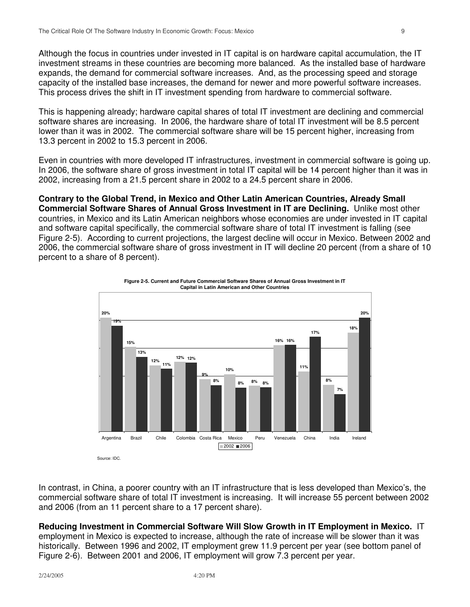Although the focus in countries under invested in IT capital is on hardware capital accumulation, the IT investment streams in these countries are becoming more balanced. As the installed base of hardware expands, the demand for commercial software increases. And, as the processing speed and storage capacity of the installed base increases, the demand for newer and more powerful software increases. This process drives the shift in IT investment spending from hardware to commercial software.

This is happening already; hardware capital shares of total IT investment are declining and commercial software shares are increasing. In 2006, the hardware share of total IT investment will be 8.5 percent lower than it was in 2002. The commercial software share will be 15 percent higher, increasing from 13.3 percent in 2002 to 15.3 percent in 2006.

Even in countries with more developed IT infrastructures, investment in commercial software is going up. In 2006, the software share of gross investment in total IT capital will be 14 percent higher than it was in 2002, increasing from a 21.5 percent share in 2002 to a 24.5 percent share in 2006.

**Contrary to the Global Trend, in Mexico and Other Latin American Countries, Already Small Commercial Software Shares of Annual Gross Investment in IT are Declining.** Unlike most other countries, in Mexico and its Latin American neighbors whose economies are under invested in IT capital and software capital specifically, the commercial software share of total IT investment is falling (see Figure 2-5). According to current projections, the largest decline will occur in Mexico. Between 2002 and 2006, the commercial software share of gross investment in IT will decline 20 percent (from a share of 10 percent to a share of 8 percent).



In contrast, in China, a poorer country with an IT infrastructure that is less developed than Mexico's, the commercial software share of total IT investment is increasing. It will increase 55 percent between 2002 and 2006 (from an 11 percent share to a 17 percent share).

**Reducing Investment in Commercial Software Will Slow Growth in IT Employment in Mexico.** IT employment in Mexico is expected to increase, although the rate of increase will be slower than it was historically. Between 1996 and 2002, IT employment grew 11.9 percent per year (see bottom panel of Figure 2-6). Between 2001 and 2006, IT employment will grow 7.3 percent per year.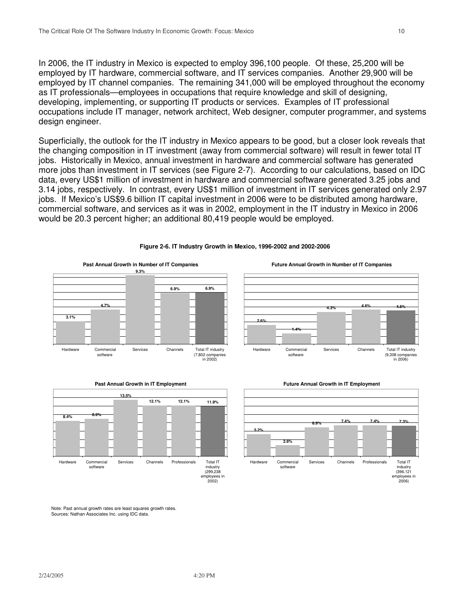In 2006, the IT industry in Mexico is expected to employ 396,100 people. Of these, 25,200 will be employed by IT hardware, commercial software, and IT services companies. Another 29,900 will be employed by IT channel companies. The remaining 341,000 will be employed throughout the economy as IT professionals—employees in occupations that require knowledge and skill of designing, developing, implementing, or supporting IT products or services. Examples of IT professional occupations include IT manager, network architect, Web designer, computer programmer, and systems design engineer.

Superficially, the outlook for the IT industry in Mexico appears to be good, but a closer look reveals that the changing composition in IT investment (away from commercial software) will result in fewer total IT jobs. Historically in Mexico, annual investment in hardware and commercial software has generated more jobs than investment in IT services (see Figure 2-7). According to our calculations, based on IDC data, every US\$1 million of investment in hardware and commercial software generated 3.25 jobs and 3.14 jobs, respectively. In contrast, every US\$1 million of investment in IT services generated only 2.97 jobs. If Mexico's US\$9.6 billion IT capital investment in 2006 were to be distributed among hardware, commercial software, and services as it was in 2002, employment in the IT industry in Mexico in 2006 would be 20.3 percent higher; an additional 80,419 people would be employed.



**Past Annual Growth in Number of IT Companies**



**Future Annual Growth in Number of IT Companies**

**4.3%**

**4.6% 4.5%**

**1.4%**





**Past Annual Growth in IT Employment**

Note: Past annual growth rates are least squares growth rates. Sources: Nathan Associates Inc. using IDC data.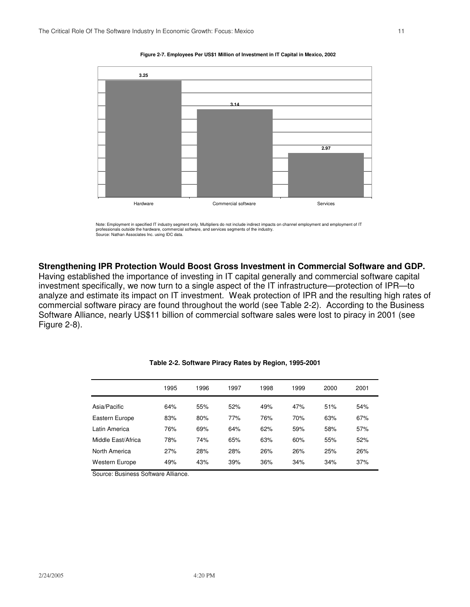

#### **Figure 2-7. Employees Per US\$1 Million of Investment in IT Capital in Mexico, 2002**

Note: Employment in specified IT industry segment only. Multipliers do not include indirect impacts on channel employment and employment of IT professionals outside the hardware, commercial software, and services segments of the industry. Source: Nathan Associates Inc. using IDC data.

**Strengthening IPR Protection Would Boost Gross Investment in Commercial Software and GDP.**

Having established the importance of investing in IT capital generally and commercial software capital investment specifically, we now turn to a single aspect of the IT infrastructure—protection of IPR—to analyze and estimate its impact on IT investment. Weak protection of IPR and the resulting high rates of commercial software piracy are found throughout the world (see Table 2-2). According to the Business Software Alliance, nearly US\$11 billion of commercial software sales were lost to piracy in 2001 (see Figure 2-8).

|                    | 1995 | 1996 | 1997 | 1998 | 1999 | 2000 | 2001 |  |
|--------------------|------|------|------|------|------|------|------|--|
| Asia/Pacific       | 64%  | 55%  | 52%  | 49%  | 47%  | 51%  | 54%  |  |
| Eastern Europe     | 83%  | 80%  | 77%  | 76%  | 70%  | 63%  | 67%  |  |
| Latin America      | 76%  | 69%  | 64%  | 62%  | 59%  | 58%  | 57%  |  |
| Middle East/Africa | 78%  | 74%  | 65%  | 63%  | 60%  | 55%  | 52%  |  |
| North America      | 27%  | 28%  | 28%  | 26%  | 26%  | 25%  | 26%  |  |
| Western Europe     | 49%  | 43%  | 39%  | 36%  | 34%  | 34%  | 37%  |  |
|                    |      |      |      |      |      |      |      |  |

#### **Table 2-2. Software Piracy Rates by Region, 1995-2001**

Source: Business Software Alliance.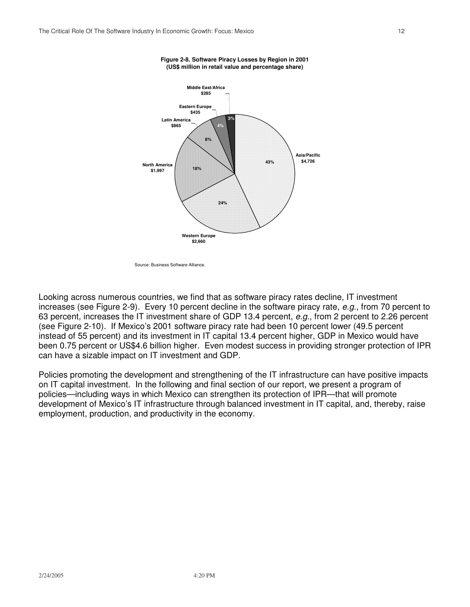

**Figure 2-8. Software Piracy Losses by Region in 2001 (US\$ million in retail value and percentage share)**

Source: Business Software Alliance.

Looking across numerous countries, we find that as software piracy rates decline, IT investment increases (see Figure 2-9). Every 10 percent decline in the software piracy rate, *e.g.*, from 70 percent to 63 percent, increases the IT investment share of GDP 13.4 percent, *e.g.*, from 2 percent to 2.26 percent (see Figure 2-10). If Mexico's 2001 software piracy rate had been 10 percent lower (49.5 percent instead of 55 percent) and its investment in IT capital 13.4 percent higher, GDP in Mexico would have been 0.75 percent or US\$4.6 billion higher. Even modest success in providing stronger protection of IPR can have a sizable impact on IT investment and GDP.

Policies promoting the development and strengthening of the IT infrastructure can have positive impacts on IT capital investment. In the following and final section of our report, we present a program of policies—including ways in which Mexico can strengthen its protection of IPR—that will promote development of Mexico's IT infrastructure through balanced investment in IT capital, and, thereby, raise employment, production, and productivity in the economy.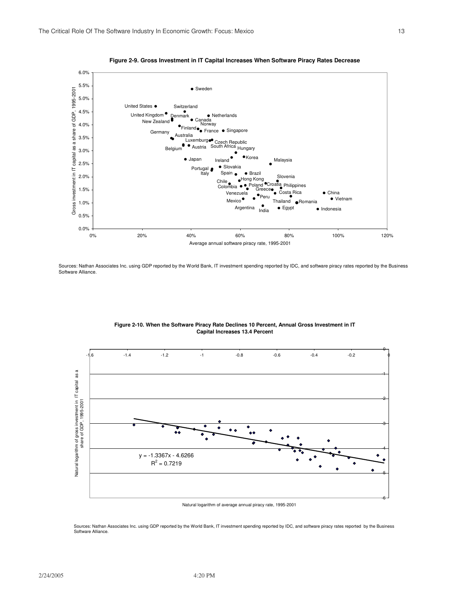

**Figure 2-9. Gross Investment in IT Capital Increases When Software Piracy Rates Decrease**

Sources: Nathan Associates Inc. using GDP reported by the World Bank, IT investment spending reported by IDC, and software piracy rates reported by the Business Software Alliance.



**Figure 2-10. When the Software Piracy Rate Declines 10 Percent, Annual Gross Investment in IT Capital Increases 13.4 Percent**

Natural logarithm of average annual piracy rate, 1995-2001

Sources: Nathan Associates Inc. using GDP reported by the World Bank, IT investment spending reported by IDC, and software piracy rates reported by the Business Software Alliance.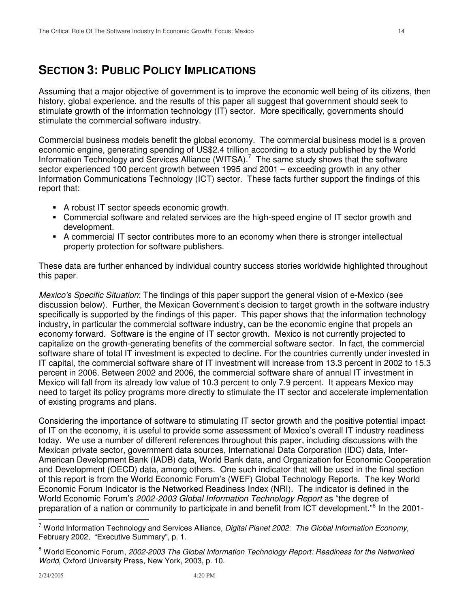# **SECTION 3: PUBLIC POLICY IMPLICATIONS**

Assuming that a major objective of government is to improve the economic well being of its citizens, then history, global experience, and the results of this paper all suggest that government should seek to stimulate growth of the information technology (IT) sector. More specifically, governments should stimulate the commercial software industry.

Commercial business models benefit the global economy. The commercial business model is a proven economic engine, generating spending of US\$2.4 trillion according to a study published by the World Information Technology and Services Alliance (WITSA).<sup>7</sup> The same study shows that the software sector experienced 100 percent growth between 1995 and 2001 – exceeding growth in any other Information Communications Technology (ICT) sector. These facts further support the findings of this report that:

- A robust IT sector speeds economic growth.
- Commercial software and related services are the high-speed engine of IT sector growth and development.
- A commercial IT sector contributes more to an economy when there is stronger intellectual property protection for software publishers.

These data are further enhanced by individual country success stories worldwide highlighted throughout this paper.

*Mexico's Specific Situation*: The findings of this paper support the general vision of e-Mexico (see discussion below). Further, the Mexican Government's decision to target growth in the software industry specifically is supported by the findings of this paper. This paper shows that the information technology industry, in particular the commercial software industry, can be the economic engine that propels an economy forward. Software is the engine of IT sector growth. Mexico is not currently projected to capitalize on the growth-generating benefits of the commercial software sector. In fact, the commercial software share of total IT investment is expected to decline. For the countries currently under invested in IT capital, the commercial software share of IT investment will increase from 13.3 percent in 2002 to 15.3 percent in 2006. Between 2002 and 2006, the commercial software share of annual IT investment in Mexico will fall from its already low value of 10.3 percent to only 7.9 percent. It appears Mexico may need to target its policy programs more directly to stimulate the IT sector and accelerate implementation of existing programs and plans.

Considering the importance of software to stimulating IT sector growth and the positive potential impact of IT on the economy, it is useful to provide some assessment of Mexico's overall IT industry readiness today. We use a number of different references throughout this paper, including discussions with the Mexican private sector, government data sources, International Data Corporation (IDC) data, Inter-American Development Bank (IADB) data, World Bank data, and Organization for Economic Cooperation and Development (OECD) data, among others. One such indicator that will be used in the final section of this report is from the World Economic Forum's (WEF) Global Technology Reports. The key World Economic Forum Indicator is the Networked Readiness Index (NRI). The indicator is defined in the World Economic Forum's *2002-2003 Global Information Technology Report* as "the degree of preparation of a nation or community to participate in and benefit from ICT development."<sup>8</sup> In the 2001-

<sup>7</sup> World Information Technology and Services Alliance, *Digital Planet 2002: The Global Information Economy*, February 2002, "Executive Summary", p. 1.

<sup>8</sup> World Economic Forum, *2002-2003 The Global Information Technology Report: Readiness for the Networked World*, Oxford University Press, New York, 2003, p. 10.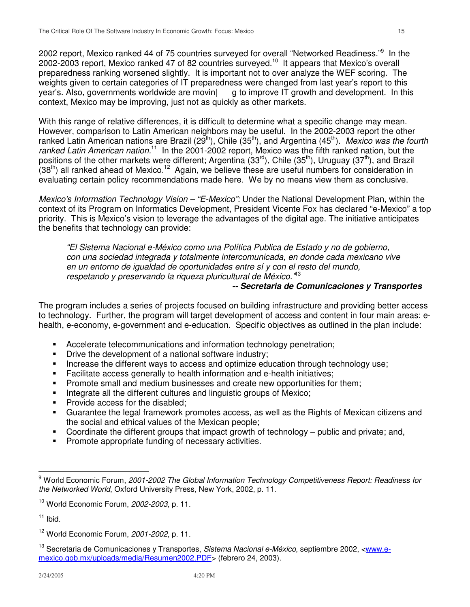2002 report, Mexico ranked 44 of 75 countries surveyed for overall "Networked Readiness."<sup>9</sup> In the 2002-2003 report, Mexico ranked 47 of 82 countries surveyed.<sup>10</sup> It appears that Mexico's overall preparedness ranking worsened slightly. It is important not to over analyze the WEF scoring. The weights given to certain categories of IT preparedness were changed from last year's report to this year's. Also, governments worldwide are movin| g to improve IT growth and development. In this context, Mexico may be improving, just not as quickly as other markets.

With this range of relative differences, it is difficult to determine what a specific change may mean. However, comparison to Latin American neighbors may be useful. In the 2002-2003 report the other ranked Latin American nations are Brazil (29<sup>th</sup>), Chile (35<sup>th</sup>), and Argentina (45<sup>th</sup>). *Mexico was the fourth* ranked Latin American nation.<sup>11</sup> In the 2001-2002 report, Mexico was the fifth ranked nation, but the positions of the other markets were different; Argentina (33 $^{\text{rd}}$ ), Chile (35<sup>th</sup>), Uruguay (37<sup>th</sup>), and Brazil  $(38<sup>th</sup>)$  all ranked ahead of Mexico.<sup>12</sup> Again, we believe these are useful numbers for consideration in evaluating certain policy recommendations made here. We by no means view them as conclusive.

*Mexico's Information Technology Vision – "E-Mexico":* Under the National Development Plan, within the context of its Program on Informatics Development, President Vicente Fox has declared "e-Mexico" a top priority. This is Mexico's vision to leverage the advantages of the digital age. The initiative anticipates the benefits that technology can provide:

*"El Sistema Nacional e-México como una Política Publica de Estado y no de gobierno, con una sociedad integrada y totalmente intercomunicada, en donde cada mexicano vive en un entorno de igualdad de oportunidades entre sí y con el resto del mundo, respetando y preservando la riqueza pluricultural de México."* 13

### *-- Secretaria de Comunicaciones y Transportes*

The program includes a series of projects focused on building infrastructure and providing better access to technology. Further, the program will target development of access and content in four main areas: ehealth, e-economy, e-government and e-education. Specific objectives as outlined in the plan include:

- Accelerate telecommunications and information technology penetration;
- Drive the development of a national software industry;
- Increase the different ways to access and optimize education through technology use;
- Facilitate access generally to health information and e-health initiatives;
- **Promote small and medium businesses and create new opportunities for them;**
- **Integrate all the different cultures and linguistic groups of Mexico;**
- Provide access for the disabled;
- Guarantee the legal framework promotes access, as well as the Rights of Mexican citizens and the social and ethical values of the Mexican people;
- Coordinate the different groups that impact growth of technology public and private; and,
- **Promote appropriate funding of necessary activities.**

<sup>9</sup> World Economic Forum, *2001-2002 The Global Information Technology Competitiveness Report: Readiness for the Networked World*, Oxford University Press, New York, 2002, p. 11.

<sup>10</sup> World Economic Forum, *2002-2003*, p. 11.

 $11$  lbid.

<sup>12</sup> World Economic Forum, *2001-2002*, p. 11.

<sup>&</sup>lt;sup>13</sup> Secretaria de Comunicaciones y Transportes, *Sistema Nacional e-México*, septiembre 2002, <www.emexico.gob.mx/uploads/media/Resumen2002.PDF> (febrero 24, 2003).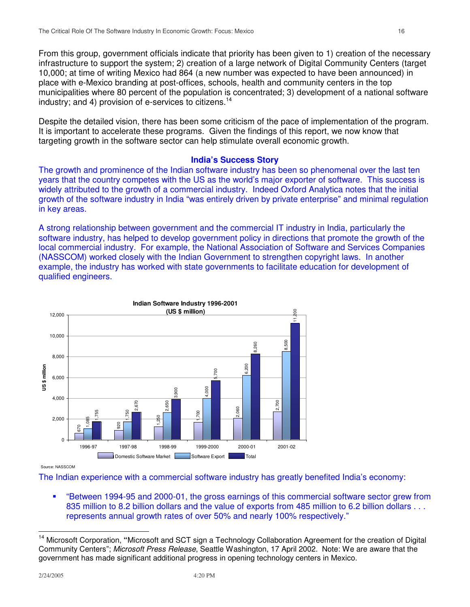From this group, government officials indicate that priority has been given to 1) creation of the necessary infrastructure to support the system; 2) creation of a large network of Digital Community Centers (target 10,000; at time of writing Mexico had 864 (a new number was expected to have been announced) in place with e-Mexico branding at post-offices, schools, health and community centers in the top municipalities where 80 percent of the population is concentrated; 3) development of a national software industry; and 4) provision of e-services to citizens.<sup>14</sup>

Despite the detailed vision, there has been some criticism of the pace of implementation of the program. It is important to accelerate these programs. Given the findings of this report, we now know that targeting growth in the software sector can help stimulate overall economic growth.

### **India's Success Story**

The growth and prominence of the Indian software industry has been so phenomenal over the last ten years that the country competes with the US as the world's major exporter of software. This success is widely attributed to the growth of a commercial industry. Indeed Oxford Analytica notes that the initial growth of the software industry in India "was entirely driven by private enterprise" and minimal regulation in key areas.

A strong relationship between government and the commercial IT industry in India, particularly the software industry, has helped to develop government policy in directions that promote the growth of the local commercial industry. For example, the National Association of Software and Services Companies (NASSCOM) worked closely with the Indian Government to strengthen copyright laws. In another example, the industry has worked with state governments to facilitate education for development of qualified engineers.



Source: NASSCOM

The Indian experience with a commercial software industry has greatly benefited India's economy:

 "Between 1994-95 and 2000-01, the gross earnings of this commercial software sector grew from 835 million to 8.2 billion dollars and the value of exports from 485 million to 6.2 billion dollars . . . represents annual growth rates of over 50% and nearly 100% respectively."

<sup>&</sup>lt;sup>14</sup> Microsoft Corporation, "Microsoft and SCT sign a Technology Collaboration Agreement for the creation of Digital Community Centers"; *Microsoft Press Release*, Seattle Washington, 17 April 2002. Note: We are aware that the government has made significant additional progress in opening technology centers in Mexico.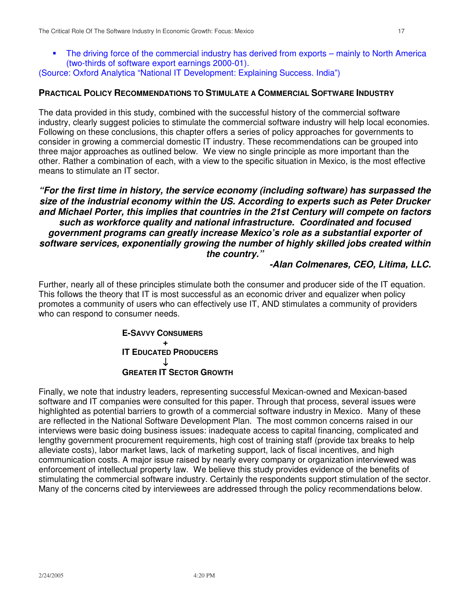The driving force of the commercial industry has derived from exports – mainly to North America (two-thirds of software export earnings 2000-01).

(Source: Oxford Analytica "National IT Development: Explaining Success. India")

### **PRACTICAL POLICY RECOMMENDATIONS TO STIMULATE A COMMERCIAL SOFTWARE INDUSTRY**

The data provided in this study, combined with the successful history of the commercial software industry, clearly suggest policies to stimulate the commercial software industry will help local economies. Following on these conclusions, this chapter offers a series of policy approaches for governments to consider in growing a commercial domestic IT industry. These recommendations can be grouped into three major approaches as outlined below. We view no single principle as more important than the other. Rather a combination of each, with a view to the specific situation in Mexico, is the most effective means to stimulate an IT sector.

### *"For the first time in history, the service economy (including software) has surpassed the size of the industrial economy within the US. According to experts such as Peter Drucker and Michael Porter, this implies that countries in the 21st Century will compete on factors such as workforce quality and national infrastructure. Coordinated and focused government programs can greatly increase Mexico's role as a substantial exporter of software services, exponentially growing the number of highly skilled jobs created within the country."*

### *-Alan Colmenares, CEO, Litima, LLC.*

Further, nearly all of these principles stimulate both the consumer and producer side of the IT equation. This follows the theory that IT is most successful as an economic driver and equalizer when policy promotes a community of users who can effectively use IT, AND stimulates a community of providers who can respond to consumer needs.

E-SAVYY CONSUMERS

\nIT EDUCATED PRODUCERS

\n
$$
\downarrow
$$

\nGREATER IT SECTOR GROWTH

Finally, we note that industry leaders, representing successful Mexican-owned and Mexican-based software and IT companies were consulted for this paper. Through that process, several issues were highlighted as potential barriers to growth of a commercial software industry in Mexico. Many of these are reflected in the National Software Development Plan. The most common concerns raised in our interviews were basic doing business issues: inadequate access to capital financing, complicated and lengthy government procurement requirements, high cost of training staff (provide tax breaks to help alleviate costs), labor market laws, lack of marketing support, lack of fiscal incentives, and high communication costs. A major issue raised by nearly every company or organization interviewed was enforcement of intellectual property law. We believe this study provides evidence of the benefits of stimulating the commercial software industry. Certainly the respondents support stimulation of the sector. Many of the concerns cited by interviewees are addressed through the policy recommendations below.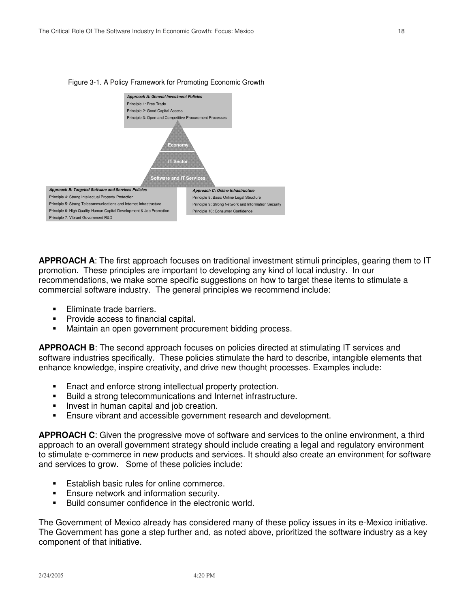

#### Figure 3-1. A Policy Framework for Promoting Economic Growth

**APPROACH A**: The first approach focuses on traditional investment stimuli principles, gearing them to IT promotion. These principles are important to developing any kind of local industry. In our recommendations, we make some specific suggestions on how to target these items to stimulate a commercial software industry. The general principles we recommend include:

- **Eliminate trade barriers.**
- **Provide access to financial capital.**
- **Maintain an open government procurement bidding process.**

**APPROACH B**: The second approach focuses on policies directed at stimulating IT services and software industries specifically. These policies stimulate the hard to describe, intangible elements that enhance knowledge, inspire creativity, and drive new thought processes. Examples include:

- Enact and enforce strong intellectual property protection.
- Build a strong telecommunications and Internet infrastructure.
- Invest in human capital and job creation.
- **Ensure vibrant and accessible government research and development.**

**APPROACH C**: Given the progressive move of software and services to the online environment, a third approach to an overall government strategy should include creating a legal and regulatory environment to stimulate e-commerce in new products and services. It should also create an environment for software and services to grow. Some of these policies include:

- Establish basic rules for online commerce.
- **Ensure network and information security.**
- Build consumer confidence in the electronic world.

The Government of Mexico already has considered many of these policy issues in its e-Mexico initiative. The Government has gone a step further and, as noted above, prioritized the software industry as a key component of that initiative.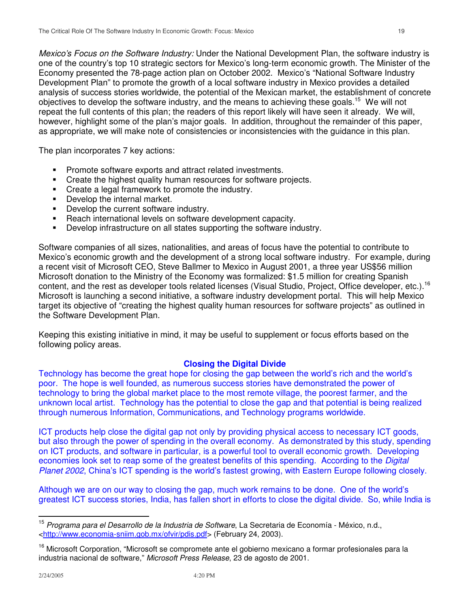*Mexico's Focus on the Software Industry:* Under the National Development Plan, the software industry is one of the country's top 10 strategic sectors for Mexico's long-term economic growth. The Minister of the Economy presented the 78-page action plan on October 2002. Mexico's "National Software Industry Development Plan" to promote the growth of a local software industry in Mexico provides a detailed analysis of success stories worldwide, the potential of the Mexican market, the establishment of concrete objectives to develop the software industry, and the means to achieving these goals.<sup>15</sup> We will not repeat the full contents of this plan; the readers of this report likely will have seen it already. We will, however, highlight some of the plan's major goals. In addition, throughout the remainder of this paper, as appropriate, we will make note of consistencies or inconsistencies with the guidance in this plan.

The plan incorporates 7 key actions:

- **Promote software exports and attract related investments.**
- Create the highest quality human resources for software projects.
- **Create a legal framework to promote the industry.**
- **Develop the internal market.**
- **Develop the current software industry.**
- **-** Reach international levels on software development capacity.
- **-** Develop infrastructure on all states supporting the software industry.

Software companies of all sizes, nationalities, and areas of focus have the potential to contribute to Mexico's economic growth and the development of a strong local software industry. For example, during a recent visit of Microsoft CEO, Steve Ballmer to Mexico in August 2001, a three year US\$56 million Microsoft donation to the Ministry of the Economy was formalized: \$1.5 million for creating Spanish content, and the rest as developer tools related licenses (Visual Studio, Project, Office developer, etc.). 16 Microsoft is launching a second initiative, a software industry development portal. This will help Mexico target its objective of "creating the highest quality human resources for software projects" as outlined in the Software Development Plan.

Keeping this existing initiative in mind, it may be useful to supplement or focus efforts based on the following policy areas.

### **Closing the Digital Divide**

Technology has become the great hope for closing the gap between the world's rich and the world's poor. The hope is well founded, as numerous success stories have demonstrated the power of technology to bring the global market place to the most remote village, the poorest farmer, and the unknown local artist. Technology has the potential to close the gap and that potential is being realized through numerous Information, Communications, and Technology programs worldwide.

ICT products help close the digital gap not only by providing physical access to necessary ICT goods, but also through the power of spending in the overall economy. As demonstrated by this study, spending on ICT products, and software in particular, is a powerful tool to overall economic growth. Developing economies look set to reap some of the greatest benefits of this spending. According to the *Digital Planet 2002*, China's ICT spending is the world's fastest growing, with Eastern Europe following closely.

Although we are on our way to closing the gap, much work remains to be done. One of the world's greatest ICT success stories, India, has fallen short in efforts to close the digital divide. So, while India is

<sup>15</sup> *Programa para el Desarrollo de la Industria de Software*, La Secretaria de Economía - México, n.d., <http://www.economia-sniim.gob.mx/ofvir/pdis.pdf> (February 24, 2003).

<sup>16</sup> Microsoft Corporation, "Microsoft se compromete ante el gobierno mexicano a formar profesionales para la industria nacional de software," *Microsoft Press Release*, 23 de agosto de 2001.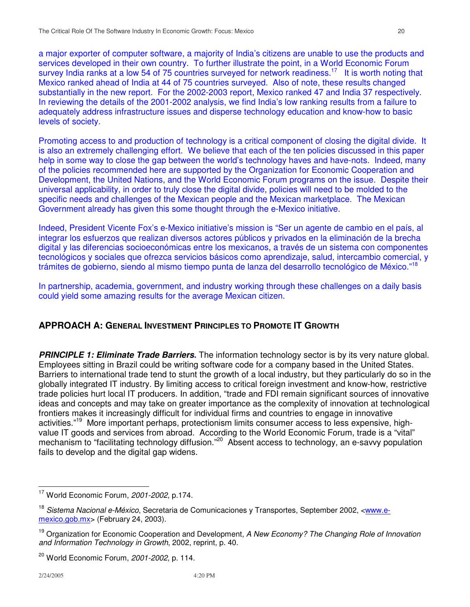a major exporter of computer software, a majority of India's citizens are unable to use the products and services developed in their own country. To further illustrate the point, in a World Economic Forum survey India ranks at a low 54 of 75 countries surveyed for network readiness.<sup>17</sup> It is worth noting that Mexico ranked ahead of India at 44 of 75 countries surveyed. Also of note, these results changed substantially in the new report. For the 2002-2003 report, Mexico ranked 47 and India 37 respectively. In reviewing the details of the 2001-2002 analysis, we find India's low ranking results from a failure to adequately address infrastructure issues and disperse technology education and know-how to basic levels of society.

Promoting access to and production of technology is a critical component of closing the digital divide. It is also an extremely challenging effort. We believe that each of the ten policies discussed in this paper help in some way to close the gap between the world's technology haves and have-nots. Indeed, many of the policies recommended here are supported by the Organization for Economic Cooperation and Development, the United Nations, and the World Economic Forum programs on the issue. Despite their universal applicability, in order to truly close the digital divide, policies will need to be molded to the specific needs and challenges of the Mexican people and the Mexican marketplace. The Mexican Government already has given this some thought through the e-Mexico initiative.

Indeed, President Vicente Fox's e-Mexico initiative's mission is "Ser un agente de cambio en el país, al integrar los esfuerzos que realizan diversos actores públicos y privados en la eliminación de la brecha digital y las diferencias socioeconómicas entre los mexicanos, a través de un sistema con componentes tecnológicos y sociales que ofrezca servicios básicos como aprendizaje, salud, intercambio comercial, y trámites de gobierno, siendo al mismo tiempo punta de lanza del desarrollo tecnológico de México."<sup>18</sup>

In partnership, academia, government, and industry working through these challenges on a daily basis could yield some amazing results for the average Mexican citizen.

## **APPROACH A: GENERAL INVESTMENT PRINCIPLES TO PROMOTE IT GROWTH**

*PRINCIPLE 1: Eliminate Trade Barriers***.** The information technology sector is by its very nature global. Employees sitting in Brazil could be writing software code for a company based in the United States. Barriers to international trade tend to stunt the growth of a local industry, but they particularly do so in the globally integrated IT industry. By limiting access to critical foreign investment and know-how, restrictive trade policies hurt local IT producers. In addition, "trade and FDI remain significant sources of innovative ideas and concepts and may take on greater importance as the complexity of innovation at technological frontiers makes it increasingly difficult for individual firms and countries to engage in innovative activities."<sup>19</sup> More important perhaps, protectionism limits consumer access to less expensive, highvalue IT goods and services from abroad. According to the World Economic Forum, trade is a "vital" mechanism to "facilitating technology diffusion."<sup>20</sup> Absent access to technology, an e-savvy population fails to develop and the digital gap widens.

<sup>17</sup> World Economic Forum, *2001-2002*, p.174.

<sup>&</sup>lt;sup>18</sup> Sistema Nacional e-México, Secretaria de Comunicaciones y Transportes, September 2002, <www.emexico.gob.mx> (February 24, 2003).

<sup>19</sup> Organization for Economic Cooperation and Development, *A New Economy? The Changing Role of Innovation and Information Technology in Growth*, 2002, reprint, p. 40.

<sup>20</sup> World Economic Forum, *2001-2002*, p. 114.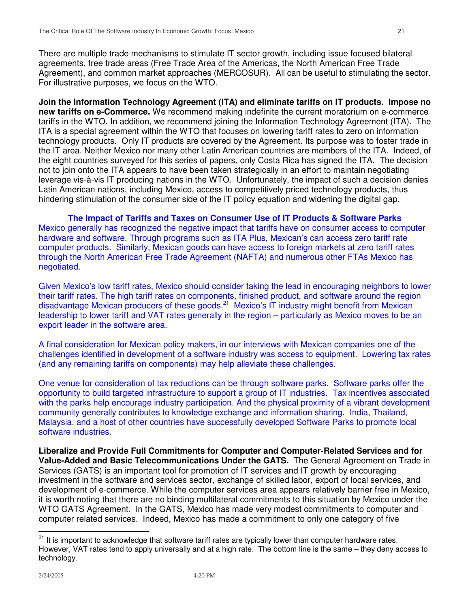There are multiple trade mechanisms to stimulate IT sector growth, including issue focused bilateral agreements, free trade areas (Free Trade Area of the Americas, the North American Free Trade Agreement), and common market approaches (MERCOSUR). All can be useful to stimulating the sector. For illustrative purposes, we focus on the WTO.

**Join the Information Technology Agreement (ITA) and eliminate tariffs on IT products. Impose no new tariffs on e-Commerce.** We recommend making indefinite the current moratorium on e-commerce tariffs in the WTO. In addition, we recommend joining the Information Technology Agreement (ITA). The ITA is a special agreement within the WTO that focuses on lowering tariff rates to zero on information technology products. Only IT products are covered by the Agreement. Its purpose was to foster trade in the IT area. Neither Mexico nor many other Latin American countries are members of the ITA. Indeed, of the eight countries surveyed for this series of papers, only Costa Rica has signed the ITA. The decision not to join onto the ITA appears to have been taken strategically in an effort to maintain negotiating leverage vis-à-vis IT producing nations in the WTO. Unfortunately, the impact of such a decision denies Latin American nations, including Mexico, access to competitively priced technology products, thus hindering stimulation of the consumer side of the IT policy equation and widening the digital gap.

**The Impact of Tariffs and Taxes on Consumer Use of IT Products & Software Parks** Mexico generally has recognized the negative impact that tariffs have on consumer access to computer hardware and software. Through programs such as ITA Plus, Mexican's can access zero tariff rate computer products. Similarly, Mexican goods can have access to foreign markets at zero tariff rates through the North American Free Trade Agreement (NAFTA) and numerous other FTAs Mexico has negotiated.

Given Mexico's low tariff rates, Mexico should consider taking the lead in encouraging neighbors to lower their tariff rates. The high tariff rates on components, finished product, and software around the region disadvantage Mexican producers of these goods.<sup>21</sup> Mexico's IT industry might benefit from Mexican leadership to lower tariff and VAT rates generally in the region – particularly as Mexico moves to be an export leader in the software area.

A final consideration for Mexican policy makers, in our interviews with Mexican companies one of the challenges identified in development of a software industry was access to equipment. Lowering tax rates (and any remaining tariffs on components) may help alleviate these challenges.

One venue for consideration of tax reductions can be through software parks. Software parks offer the opportunity to build targeted infrastructure to support a group of IT industries. Tax incentives associated with the parks help encourage industry participation. And the physical proximity of a vibrant development community generally contributes to knowledge exchange and information sharing. India, Thailand, Malaysia, and a host of other countries have successfully developed Software Parks to promote local software industries.

**Liberalize and Provide Full Commitments for Computer and Computer-Related Services and for Value-Added and Basic Telecommunications Under the GATS.** The General Agreement on Trade in Services (GATS) is an important tool for promotion of IT services and IT growth by encouraging investment in the software and services sector, exchange of skilled labor, export of local services, and development of e-commerce. While the computer services area appears relatively barrier free in Mexico, it is worth noting that there are no binding multilateral commitments to this situation by Mexico under the WTO GATS Agreement. In the GATS, Mexico has made very modest commitments to computer and computer related services. Indeed, Mexico has made a commitment to only one category of five

<sup>&</sup>lt;sup>21</sup> It is important to acknowledge that software tariff rates are typically lower than computer hardware rates. However, VAT rates tend to apply universally and at a high rate. The bottom line is the same – they deny access to technology.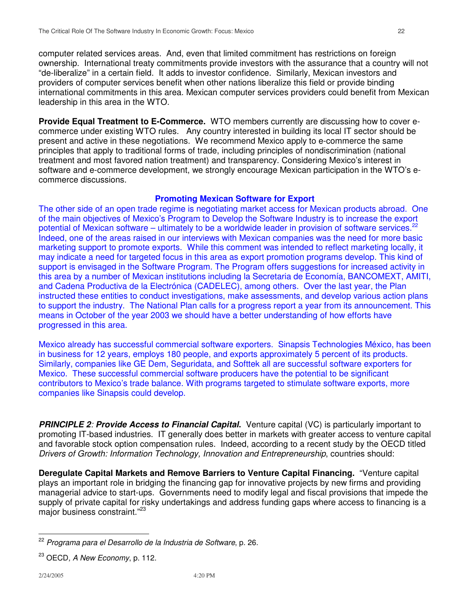computer related services areas. And, even that limited commitment has restrictions on foreign ownership. International treaty commitments provide investors with the assurance that a country will not "de-liberalize" in a certain field. It adds to investor confidence. Similarly, Mexican investors and providers of computer services benefit when other nations liberalize this field or provide binding international commitments in this area. Mexican computer services providers could benefit from Mexican leadership in this area in the WTO.

**Provide Equal Treatment to E-Commerce.** WTO members currently are discussing how to cover ecommerce under existing WTO rules. Any country interested in building its local IT sector should be present and active in these negotiations. We recommend Mexico apply to e-commerce the same principles that apply to traditional forms of trade, including principles of nondiscrimination (national treatment and most favored nation treatment) and transparency. Considering Mexico's interest in software and e-commerce development, we strongly encourage Mexican participation in the WTO's ecommerce discussions.

### **Promoting Mexican Software for Export**

The other side of an open trade regime is negotiating market access for Mexican products abroad. One of the main objectives of Mexico's Program to Develop the Software Industry is to increase the export potential of Mexican software – ultimately to be a worldwide leader in provision of software services.<sup>22</sup> Indeed, one of the areas raised in our interviews with Mexican companies was the need for more basic marketing support to promote exports. While this comment was intended to reflect marketing locally, it may indicate a need for targeted focus in this area as export promotion programs develop. This kind of support is envisaged in the Software Program. The Program offers suggestions for increased activity in this area by a number of Mexican institutions including la Secretaria de Economía, BANCOMEXT, AMITI, and Cadena Productiva de la Electrónica (CADELEC), among others. Over the last year, the Plan instructed these entities to conduct investigations, make assessments, and develop various action plans to support the industry. The National Plan calls for a progress report a year from its announcement. This means in October of the year 2003 we should have a better understanding of how efforts have progressed in this area.

Mexico already has successful commercial software exporters. Sinapsis Technologies México, has been in business for 12 years, employs 180 people, and exports approximately 5 percent of its products. Similarly, companies like GE Dem, Seguridata, and Softtek all are successful software exporters for Mexico. These successful commercial software producers have the potential to be significant contributors to Mexico's trade balance. With programs targeted to stimulate software exports, more companies like Sinapsis could develop.

*PRINCIPLE 2: Provide Access to Financial Capital***.** Venture capital (VC) is particularly important to promoting IT-based industries. IT generally does better in markets with greater access to venture capital and favorable stock option compensation rules. Indeed, according to a recent study by the OECD titled *Drivers of Growth: Information Technology, Innovation and Entrepreneurship*, countries should:

**Deregulate Capital Markets and Remove Barriers to Venture Capital Financing.** "Venture capital plays an important role in bridging the financing gap for innovative projects by new firms and providing managerial advice to start-ups. Governments need to modify legal and fiscal provisions that impede the supply of private capital for risky undertakings and address funding gaps where access to financing is a major business constraint."<sup>23</sup>

<sup>22</sup> *Programa para el Desarrollo de la Industria de Software*, p. 26.

<sup>23</sup> OECD*, A New Economy*, p. 112.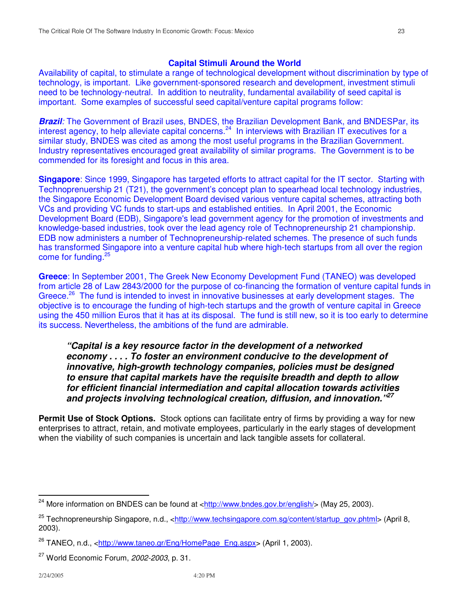### **Capital Stimuli Around the World**

Availability of capital, to stimulate a range of technological development without discrimination by type of technology, is important. Like government-sponsored research and development, investment stimuli need to be technology-neutral. In addition to neutrality, fundamental availability of seed capital is important. Some examples of successful seed capital/venture capital programs follow:

**Brazil**<sup>:</sup> The Government of Brazil uses, BNDES, the Brazilian Development Bank, and BNDESPar, its interest agency, to help alleviate capital concerns.<sup>24</sup> In interviews with Brazilian IT executives for a similar study, BNDES was cited as among the most useful programs in the Brazilian Government. Industry representatives encouraged great availability of similar programs. The Government is to be commended for its foresight and focus in this area.

**Singapore**: Since 1999, Singapore has targeted efforts to attract capital for the IT sector. Starting with Technoprenuership 21 (T21), the government's concept plan to spearhead local technology industries, the Singapore Economic Development Board devised various venture capital schemes, attracting both VCs and providing VC funds to start-ups and established entities. In April 2001, the Economic Development Board (EDB), Singapore's lead government agency for the promotion of investments and knowledge-based industries, took over the lead agency role of Technopreneurship 21 championship. EDB now administers a number of Technopreneurship-related schemes. The presence of such funds has transformed Singapore into a venture capital hub where high-tech startups from all over the region come for funding.<sup>25</sup>

**Greece**: In September 2001, The Greek New Economy Development Fund (TANEO) was developed from article 28 of Law 2843/2000 for the purpose of co-financing the formation of venture capital funds in Greece.<sup>26</sup> The fund is intended to invest in innovative businesses at early development stages. The objective is to encourage the funding of high-tech startups and the growth of venture capital in Greece using the 450 million Euros that it has at its disposal. The fund is still new, so it is too early to determine its success. Nevertheless, the ambitions of the fund are admirable.

*"Capital is a key resource factor in the development of a networked economy . . . . To foster an environment conducive to the development of innovative, high-growth technology companies, policies must be designed to ensure that capital markets have the requisite breadth and depth to allow for efficient financial intermediation and capital allocation towards activities and projects involving technological creation, diffusion, and innovation." 27*

**Permit Use of Stock Options.** Stock options can facilitate entry of firms by providing a way for new enterprises to attract, retain, and motivate employees, particularly in the early stages of development when the viability of such companies is uncertain and lack tangible assets for collateral.

 $^{24}$  More information on BNDES can be found at <http://www.bndes.gov.br/english/> (May 25, 2003).

<sup>&</sup>lt;sup>25</sup> Technopreneurship Singapore, n.d., <<u>http://www.techsingapore.com.sg/content/startup\_gov.phtml</u>> (April 8, 2003).

<sup>&</sup>lt;sup>26</sup> TANEO, n.d., <<u>http://www.taneo.gr/Eng/HomePage\_Eng.aspx</u>> (April 1, 2003).

<sup>27</sup> World Economic Forum, *2002-2003*, p. 31.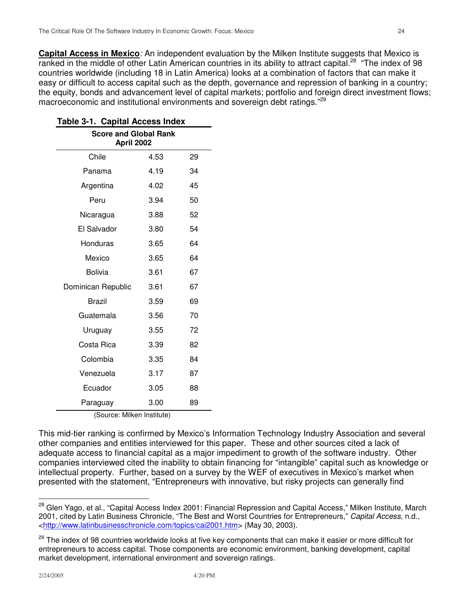**Capital Access in Mexico***:* An independent evaluation by the Milken Institute suggests that Mexico is ranked in the middle of other Latin American countries in its ability to attract capital.<sup>28</sup> "The index of 98 countries worldwide (including 18 in Latin America) looks at a combination of factors that can make it easy or difficult to access capital such as the depth, governance and repression of banking in a country; the equity, bonds and advancement level of capital markets; portfolio and foreign direct investment flows; macroeconomic and institutional environments and sovereign debt ratings."<sup>29</sup>

| <b>Score and Global Rank</b><br>April 2002 |             |    |  |  |  |
|--------------------------------------------|-------------|----|--|--|--|
| Chile                                      | 4.53        | 29 |  |  |  |
| Panama                                     | 4.19        | 34 |  |  |  |
| Argentina                                  | 4.02        | 45 |  |  |  |
| Peru                                       | 3.94        | 50 |  |  |  |
| Nicaragua                                  | 3.88        | 52 |  |  |  |
| El Salvador                                | 3.80        | 54 |  |  |  |
| Honduras                                   | 3.65        | 64 |  |  |  |
| Mexico                                     | 3.65        | 64 |  |  |  |
| <b>Bolivia</b>                             | 3.61        | 67 |  |  |  |
| Dominican Republic                         | 3.61        | 67 |  |  |  |
| Brazil                                     | 3.59        | 69 |  |  |  |
| Guatemala                                  | 3.56        | 70 |  |  |  |
| Uruguay                                    | 3.55        | 72 |  |  |  |
| Costa Rica                                 | 3.39        | 82 |  |  |  |
| Colombia                                   | 3.35        | 84 |  |  |  |
| Venezuela                                  | 3.17        | 87 |  |  |  |
| Ecuador                                    | 3.05        | 88 |  |  |  |
| Paraguay<br><b>B.ASTE</b><br>$\sim$        | 3.00<br>ÚΣ. | 89 |  |  |  |

### **Table 3-1. Capital Access Index**

(Source: Milken Institute)

This mid-tier ranking is confirmed by Mexico's Information Technology Industry Association and several other companies and entities interviewed for this paper. These and other sources cited a lack of adequate access to financial capital as a major impediment to growth of the software industry. Other companies interviewed cited the inability to obtain financing for "intangible" capital such as knowledge or intellectual property. Further, based on a survey by the WEF of executives in Mexico's market when presented with the statement, "Entrepreneurs with innovative, but risky projects can generally find

<sup>&</sup>lt;sup>28</sup> Glen Yago, et al., "Capital Access Index 2001: Financial Repression and Capital Access," Milken Institute, March 2001, cited by Latin Business Chronicle, "The Best and Worst Countries for Entrepreneurs," *Capital Access*, n.d., <http://www.latinbusinesschronicle.com/topics/cai2001.htm> (May 30, 2003).

<sup>&</sup>lt;sup>29</sup> The index of 98 countries worldwide looks at five key components that can make it easier or more difficult for entrepreneurs to access capital. Those components are economic environment, banking development, capital market development, international environment and sovereign ratings.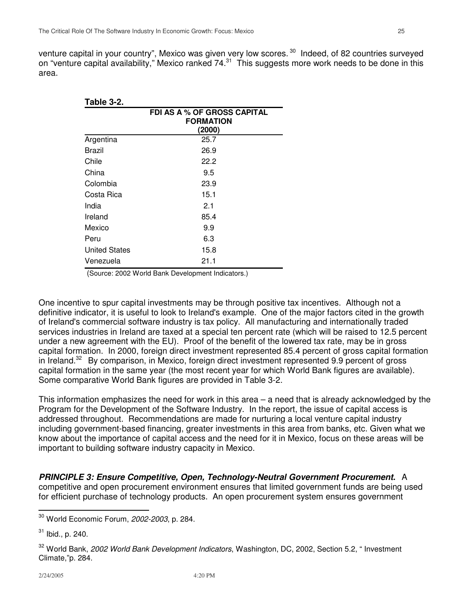venture capital in your country", Mexico was given very low scores. <sup>30</sup> Indeed, of 82 countries surveyed on "venture capital availability," Mexico ranked 74.<sup>31</sup> This suggests more work needs to be done in this area.

| Table 3-2.           |                                                                  |
|----------------------|------------------------------------------------------------------|
|                      | <b>FDI AS A % OF GROSS CAPITAL</b><br><b>FORMATION</b><br>(2000) |
| Argentina            | 25.7                                                             |
| Brazil               | 26.9                                                             |
| Chile                | 22.2                                                             |
| China                | 9.5                                                              |
| Colombia             | 23.9                                                             |
| Costa Rica           | 15.1                                                             |
| India                | 2.1                                                              |
| Ireland              | 85.4                                                             |
| Mexico               | 9.9                                                              |
| Peru                 | 6.3                                                              |
| <b>United States</b> | 15.8                                                             |
| Venezuela            | 21.1                                                             |

(Source: 2002 World Bank Development Indicators.)

One incentive to spur capital investments may be through positive tax incentives. Although not a definitive indicator, it is useful to look to Ireland's example. One of the major factors cited in the growth of Ireland's commercial software industry is tax policy. All manufacturing and internationally traded services industries in Ireland are taxed at a special ten percent rate (which will be raised to 12.5 percent under a new agreement with the EU). Proof of the benefit of the lowered tax rate, may be in gross capital formation. In 2000, foreign direct investment represented 85.4 percent of gross capital formation in Ireland.<sup>32</sup> By comparison, in Mexico, foreign direct investment represented 9.9 percent of gross capital formation in the same year (the most recent year for which World Bank figures are available). Some comparative World Bank figures are provided in Table 3-2.

This information emphasizes the need for work in this area – a need that is already acknowledged by the Program for the Development of the Software Industry. In the report, the issue of capital access is addressed throughout. Recommendations are made for nurturing a local venture capital industry including government-based financing, greater investments in this area from banks, etc. Given what we know about the importance of capital access and the need for it in Mexico, focus on these areas will be important to building software industry capacity in Mexico.

*PRINCIPLE 3: Ensure Competitive, Open, Technology-Neutral Government Procurement***.** A competitive and open procurement environment ensures that limited government funds are being used for efficient purchase of technology products. An open procurement system ensures government

<sup>30</sup> World Economic Forum, *2002-2003*, p. 284.

 $31$  lbid., p. 240.

<sup>32</sup> World Bank, *2002 World Bank Development Indicators*, Washington, DC, 2002, Section 5.2, " Investment Climate,"p. 284.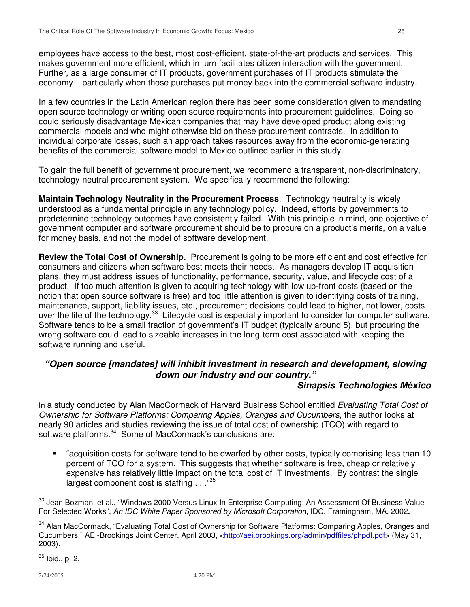employees have access to the best, most cost-efficient, state-of-the-art products and services. This makes government more efficient, which in turn facilitates citizen interaction with the government. Further, as a large consumer of IT products, government purchases of IT products stimulate the economy – particularly when those purchases put money back into the commercial software industry.

In a few countries in the Latin American region there has been some consideration given to mandating open source technology or writing open source requirements into procurement guidelines. Doing so could seriously disadvantage Mexican companies that may have developed product along existing commercial models and who might otherwise bid on these procurement contracts. In addition to individual corporate losses, such an approach takes resources away from the economic-generating benefits of the commercial software model to Mexico outlined earlier in this study.

To gain the full benefit of government procurement, we recommend a transparent, non-discriminatory, technology-neutral procurement system. We specifically recommend the following:

**Maintain Technology Neutrality in the Procurement Process**. Technology neutrality is widely understood as a fundamental principle in any technology policy. Indeed, efforts by governments to predetermine technology outcomes have consistently failed. With this principle in mind, one objective of government computer and software procurement should be to procure on a product's merits, on a value for money basis, and not the model of software development.

**Review the Total Cost of Ownership.** Procurement is going to be more efficient and cost effective for consumers and citizens when software best meets their needs. As managers develop IT acquisition plans, they must address issues of functionality, performance, security, value, and lifecycle cost of a product. If too much attention is given to acquiring technology with low up-front costs (based on the notion that open source software is free) and too little attention is given to identifying costs of training, maintenance, support, liability issues, etc., procurement decisions could lead to higher, not lower, costs over the life of the technology.<sup>33</sup> Lifecycle cost is especially important to consider for computer software. Software tends to be a small fraction of government's IT budget (typically around 5), but procuring the wrong software could lead to sizeable increases in the long-term cost associated with keeping the software running and useful.

# *"Open source [mandates] will inhibit investment in research and development, slowing down our industry and our country."*

### *Sinapsis Technologies México*

In a study conducted by Alan MacCormack of Harvard Business School entitled *Evaluating Total Cost of Ownership for Software Platforms: Comparing Apples, Oranges and Cucumbers*, the author looks at nearly 90 articles and studies reviewing the issue of total cost of ownership (TCO) with regard to software platforms.<sup>34</sup> Some of MacCormack's conclusions are:

 "acquisition costs for software tend to be dwarfed by other costs, typically comprising less than 10 percent of TCO for a system. This suggests that whether software is free, cheap or relatively expensive has relatively little impact on the total cost of IT investments. By contrast the single largest component cost is staffing . . ."<sup>35</sup>

```
35 lbid., p. 2.
```
<sup>&</sup>lt;sup>33</sup> Jean Bozman, et al., "Windows 2000 Versus Linux In Enterprise Computing: An Assessment Of Business Value For Selected Works", *An IDC White Paper Sponsored by Microsoft Corporation*, IDC, Framingham, MA, 2002**.**

<sup>&</sup>lt;sup>34</sup> Alan MacCormack, "Evaluating Total Cost of Ownership for Software Platforms: Comparing Apples, Oranges and Cucumbers," AEI-Brookings Joint Center, April 2003, <http://aei.brookings.org/admin/pdffiles/phpdl.pdf> (May 31, 2003).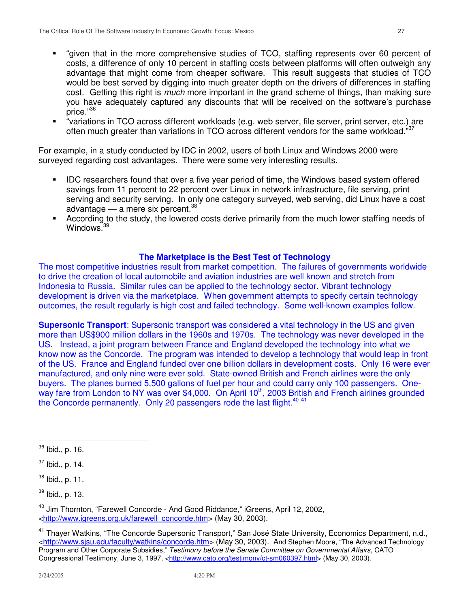- "given that in the more comprehensive studies of TCO, staffing represents over 60 percent of costs, a difference of only 10 percent in staffing costs between platforms will often outweigh any advantage that might come from cheaper software. This result suggests that studies of TCO would be best served by digging into much greater depth on the drivers of differences in staffing cost. Getting this right is *much* more important in the grand scheme of things, than making sure you have adequately captured any discounts that will be received on the software's purchase price." 36
- "variations in TCO across different workloads (e.g. web server, file server, print server, etc.) are often much greater than variations in TCO across different vendors for the same workload."37

For example, in a study conducted by IDC in 2002, users of both Linux and Windows 2000 were surveyed regarding cost advantages. There were some very interesting results.

- **IDC** researchers found that over a five year period of time, the Windows based system offered savings from 11 percent to 22 percent over Linux in network infrastructure, file serving, print serving and security serving. In only one category surveyed, web serving, did Linux have a cost advantage — a mere six percent.<sup>38</sup>
- According to the study, the lowered costs derive primarily from the much lower staffing needs of Windows.<sup>39</sup>

### **The Marketplace is the Best Test of Technology**

The most competitive industries result from market competition. The failures of governments worldwide to drive the creation of local automobile and aviation industries are well known and stretch from Indonesia to Russia. Similar rules can be applied to the technology sector. Vibrant technology development is driven via the marketplace. When government attempts to specify certain technology outcomes, the result regularly is high cost and failed technology. Some well-known examples follow.

**Supersonic Transport**: Supersonic transport was considered a vital technology in the US and given more than US\$900 million dollars in the 1960s and 1970s. The technology was never developed in the US. Instead, a joint program between France and England developed the technology into what we know now as the Concorde. The program was intended to develop a technology that would leap in front of the US. France and England funded over one billion dollars in development costs. Only 16 were ever manufactured, and only nine were ever sold. State-owned British and French airlines were the only buyers. The planes burned 5,500 gallons of fuel per hour and could carry only 100 passengers. Oneway fare from London to NY was over \$4,000. On April 10<sup>th</sup>, 2003 British and French airlines grounded the Concorde permanently. Only 20 passengers rode the last flight.<sup>40 41</sup>

 $36$  lbid., p. 16.

 $37$  Ibid., p. 14.

 $38$  lbid., p. 11.

<sup>&</sup>lt;sup>39</sup> Ibid., p. 13.

<sup>&</sup>lt;sup>40</sup> Jim Thornton, "Farewell Concorde - And Good Riddance," iGreens, April 12, 2002, <http://www.igreens.org.uk/farewell\_concorde.htm> (May 30, 2003).

<sup>&</sup>lt;sup>41</sup> Thayer Watkins, "The Concorde Supersonic Transport," San José State University, Economics Department, n.d., <http://www.sjsu.edu/faculty/watkins/concorde.htm> (May 30, 2003). And Stephen Moore, "The Advanced Technology Program and Other Corporate Subsidies," *Testimony before the Senate Committee on Governmental Affairs*, CATO Congressional Testimony, June 3, 1997, <<u>http://www.cato.org/testimony/ct-sm060397.html</u>> (May 30, 2003).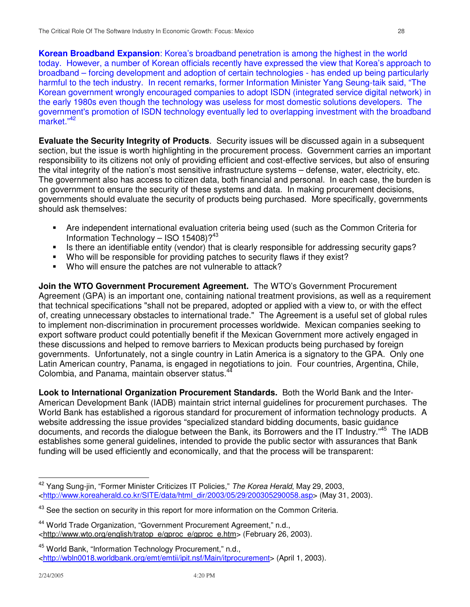**Korean Broadband Expansion**: Korea's broadband penetration is among the highest in the world today. However, a number of Korean officials recently have expressed the view that Korea's approach to broadband – forcing development and adoption of certain technologies - has ended up being particularly harmful to the tech industry. In recent remarks, former Information Minister Yang Seung-taik said, "The Korean government wrongly encouraged companies to adopt ISDN (integrated service digital network) in the early 1980s even though the technology was useless for most domestic solutions developers. The government's promotion of ISDN technology eventually led to overlapping investment with the broadband market."<sup>42</sup>

**Evaluate the Security Integrity of Products**. Security issues will be discussed again in a subsequent section, but the issue is worth highlighting in the procurement process. Government carries an important responsibility to its citizens not only of providing efficient and cost-effective services, but also of ensuring the vital integrity of the nation's most sensitive infrastructure systems – defense, water, electricity, etc. The government also has access to citizen data, both financial and personal. In each case, the burden is on government to ensure the security of these systems and data. In making procurement decisions, governments should evaluate the security of products being purchased. More specifically, governments should ask themselves:

- Are independent international evaluation criteria being used (such as the Common Criteria for Information Technology - ISO 15408)?<sup>43</sup>
- Is there an identifiable entity (vendor) that is clearly responsible for addressing security gaps?
- Who will be responsible for providing patches to security flaws if they exist?
- Who will ensure the patches are not vulnerable to attack?

**Join the WTO Government Procurement Agreement.** The WTO's Government Procurement Agreement (GPA) is an important one, containing national treatment provisions, as well as a requirement that technical specifications "shall not be prepared, adopted or applied with a view to, or with the effect of, creating unnecessary obstacles to international trade." The Agreement is a useful set of global rules to implement non-discrimination in procurement processes worldwide. Mexican companies seeking to export software product could potentially benefit if the Mexican Government more actively engaged in these discussions and helped to remove barriers to Mexican products being purchased by foreign governments. Unfortunately, not a single country in Latin America is a signatory to the GPA. Only one Latin American country, Panama, is engaged in negotiations to join. Four countries, Argentina, Chile, Colombia, and Panama, maintain observer status.<sup>44</sup>

**Look to International Organization Procurement Standards.** Both the World Bank and the Inter-American Development Bank (IADB) maintain strict internal guidelines for procurement purchases. The World Bank has established a rigorous standard for procurement of information technology products. A website addressing the issue provides "specialized standard bidding documents, basic guidance documents, and records the dialogue between the Bank, its Borrowers and the IT Industry."<sup>45</sup> The IADB establishes some general guidelines, intended to provide the public sector with assurances that Bank funding will be used efficiently and economically, and that the process will be transparent:

<sup>42</sup> Yang Sung-jin, "Former Minister Criticizes IT Policies," *The Korea Herald*, May 29, 2003, <http://www.koreaherald.co.kr/SITE/data/html\_dir/2003/05/29/200305290058.asp> (May 31, 2003).

<sup>&</sup>lt;sup>43</sup> See the section on security in this report for more information on the Common Criteria.

<sup>44</sup> World Trade Organization, "Government Procurement Agreement," n.d., <http://www.wto.org/english/tratop\_e/gproc\_e/gproc\_e.htm> (February 26, 2003).

<sup>&</sup>lt;sup>45</sup> World Bank, "Information Technology Procurement," n.d., <http://wbln0018.worldbank.org/emt/emtii/ipit.nsf/Main/itprocurement> (April 1, 2003).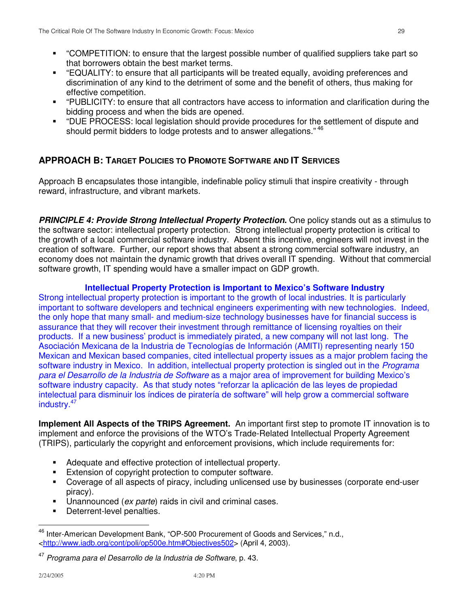- "COMPETITION: to ensure that the largest possible number of qualified suppliers take part so that borrowers obtain the best market terms.
- "EQUALITY: to ensure that all participants will be treated equally, avoiding preferences and discrimination of any kind to the detriment of some and the benefit of others, thus making for effective competition.
- "PUBLICITY: to ensure that all contractors have access to information and clarification during the bidding process and when the bids are opened.
- "DUE PROCESS: local legislation should provide procedures for the settlement of dispute and should permit bidders to lodge protests and to answer allegations." <sup>46</sup>

## **APPROACH B: TARGET POLICIES TO PROMOTE SOFTWARE AND IT SERVICES**

Approach B encapsulates those intangible, indefinable policy stimuli that inspire creativity - through reward, infrastructure, and vibrant markets.

*PRINCIPLE 4: Provide Strong Intellectual Property Protection***.** One policy stands out as a stimulus to the software sector: intellectual property protection. Strong intellectual property protection is critical to the growth of a local commercial software industry. Absent this incentive, engineers will not invest in the creation of software. Further, our report shows that absent a strong commercial software industry, an economy does not maintain the dynamic growth that drives overall IT spending. Without that commercial software growth, IT spending would have a smaller impact on GDP growth.

### **Intellectual Property Protection is Important to Mexico's Software Industry**

Strong intellectual property protection is important to the growth of local industries. It is particularly important to software developers and technical engineers experimenting with new technologies. Indeed, the only hope that many small- and medium-size technology businesses have for financial success is assurance that they will recover their investment through remittance of licensing royalties on their products. If a new business' product is immediately pirated, a new company will not last long. The Asociación Mexicana de la Industria de Tecnologías de Información (AMITI) representing nearly 150 Mexican and Mexican based companies, cited intellectual property issues as a major problem facing the software industry in Mexico. In addition, intellectual property protection is singled out in the *Programa para el Desarrollo de la Industria de Software* as a major area of improvement for building Mexico's software industry capacity. As that study notes "reforzar la aplicación de las leyes de propiedad intelectual para disminuir los índices de piratería de software" will help grow a commercial software industry. 47

**Implement All Aspects of the TRIPS Agreement.** An important first step to promote IT innovation is to implement and enforce the provisions of the WTO's Trade-Related Intellectual Property Agreement (TRIPS), particularly the copyright and enforcement provisions, which include requirements for:

- Adequate and effective protection of intellectual property.
- **Extension of copyright protection to computer software.**
- Coverage of all aspects of piracy, including unlicensed use by businesses (corporate end-user piracy).
- Unannounced (*ex parte*) raids in civil and criminal cases.
- **Deterrent-level penalties.**

<sup>46</sup> Inter-American Development Bank, "OP-500 Procurement of Goods and Services," n.d., <http://www.iadb.org/cont/poli/op500e.htm#Objectives502> (April 4, 2003).

<sup>47</sup> *Programa para el Desarrollo de la Industria de Software*, p. 43.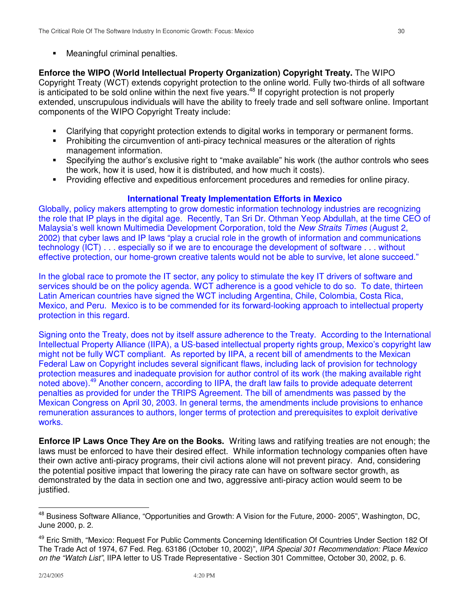**Meaningful criminal penalties.** 

### **Enforce the WIPO (World Intellectual Property Organization) Copyright Treaty.** The WIPO

Copyright Treaty (WCT) extends copyright protection to the online world. Fully two-thirds of all software is anticipated to be sold online within the next five years.<sup>48</sup> If copyright protection is not properly extended, unscrupulous individuals will have the ability to freely trade and sell software online. Important components of the WIPO Copyright Treaty include:

- Clarifying that copyright protection extends to digital works in temporary or permanent forms.
- **•** Prohibiting the circumvention of anti-piracy technical measures or the alteration of rights management information.
- Specifying the author's exclusive right to "make available" his work (the author controls who sees the work, how it is used, how it is distributed, and how much it costs).
- Providing effective and expeditious enforcement procedures and remedies for online piracy.

### **International Treaty Implementation Efforts in Mexico**

Globally, policy makers attempting to grow domestic information technology industries are recognizing the role that IP plays in the digital age. Recently, Tan Sri Dr. Othman Yeop Abdullah, at the time CEO of Malaysia's well known Multimedia Development Corporation, told the *New Straits Times* (August 2, 2002) that cyber laws and IP laws "play a crucial role in the growth of information and communications technology (ICT) . . . especially so if we are to encourage the development of software . . . without effective protection, our home-grown creative talents would not be able to survive, let alone succeed."

In the global race to promote the IT sector, any policy to stimulate the key IT drivers of software and services should be on the policy agenda. WCT adherence is a good vehicle to do so. To date, thirteen Latin American countries have signed the WCT including Argentina, Chile, Colombia, Costa Rica, Mexico, and Peru. Mexico is to be commended for its forward-looking approach to intellectual property protection in this regard.

Signing onto the Treaty, does not by itself assure adherence to the Treaty. According to the International Intellectual Property Alliance (IIPA), a US-based intellectual property rights group, Mexico's copyright law might not be fully WCT compliant. As reported by IIPA, a recent bill of amendments to the Mexican Federal Law on Copyright includes several significant flaws, including lack of provision for technology protection measures and inadequate provision for author control of its work (the making available right noted above).<sup>49</sup> Another concern, according to IIPA, the draft law fails to provide adequate deterrent penalties as provided for under the TRIPS Agreement. The bill of amendments was passed by the Mexican Congress on April 30, 2003. In general terms, the amendments include provisions to enhance remuneration assurances to authors, longer terms of protection and prerequisites to exploit derivative works.

**Enforce IP Laws Once They Are on the Books.** Writing laws and ratifying treaties are not enough; the laws must be enforced to have their desired effect. While information technology companies often have their own active anti-piracy programs, their civil actions alone will not prevent piracy. And, considering the potential positive impact that lowering the piracy rate can have on software sector growth, as demonstrated by the data in section one and two, aggressive anti-piracy action would seem to be justified.

<sup>&</sup>lt;sup>48</sup> Business Software Alliance, "Opportunities and Growth: A Vision for the Future, 2000- 2005", Washington, DC, June 2000, p. 2.

<sup>&</sup>lt;sup>49</sup> Eric Smith, "Mexico: Request For Public Comments Concerning Identification Of Countries Under Section 182 Of The Trade Act of 1974, 67 Fed. Reg. 63186 (October 10, 2002)", *IIPA Special 301 Recommendation: Place Mexico on the "Watch List"*, IIPA letter to US Trade Representative - Section 301 Committee, October 30, 2002, p. 6.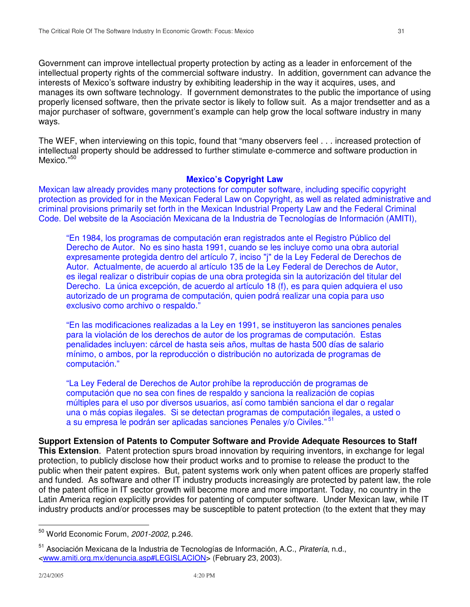Government can improve intellectual property protection by acting as a leader in enforcement of the intellectual property rights of the commercial software industry. In addition, government can advance the interests of Mexico's software industry by exhibiting leadership in the way it acquires, uses, and manages its own software technology. If government demonstrates to the public the importance of using properly licensed software, then the private sector is likely to follow suit. As a major trendsetter and as a major purchaser of software, government's example can help grow the local software industry in many ways.

The WEF, when interviewing on this topic, found that "many observers feel . . . increased protection of intellectual property should be addressed to further stimulate e-commerce and software production in Mexico." 50

### **Mexico's Copyright Law**

Mexican law already provides many protections for computer software, including specific copyright protection as provided for in the Mexican Federal Law on Copyright, as well as related administrative and criminal provisions primarily set forth in the Mexican Industrial Property Law and the Federal Criminal Code. Del website de la Asociación Mexicana de la Industria de Tecnologías de Información (AMITI),

"En 1984, los programas de computación eran registrados ante el Registro Público del Derecho de Autor. No es sino hasta 1991, cuando se les incluye como una obra autorial expresamente protegida dentro del artículo 7, inciso "j" de la Ley Federal de Derechos de Autor. Actualmente, de acuerdo al artículo 135 de la Ley Federal de Derechos de Autor, es ilegal realizar o distribuir copias de una obra protegida sin la autorización del titular del Derecho. La única excepción, de acuerdo al artículo 18 (f), es para quien adquiera el uso autorizado de un programa de computación, quien podrá realizar una copia para uso exclusivo como archivo o respaldo."

"En las modificaciones realizadas a la Ley en 1991, se instituyeron las sanciones penales para la violación de los derechos de autor de los programas de computación. Estas penalidades incluyen: cárcel de hasta seis años, multas de hasta 500 días de salario mínimo, o ambos, por la reproducción o distribución no autorizada de programas de computación."

"La Ley Federal de Derechos de Autor prohíbe la reproducción de programas de computación que no sea con fines de respaldo y sanciona la realización de copias múltiples para el uso por diversos usuarios, así como también sanciona el dar o regalar una o más copias ilegales. Si se detectan programas de computación ilegales, a usted o a su empresa le podrán ser aplicadas sanciones Penales y/o Civiles." 51

**Support Extension of Patents to Computer Software and Provide Adequate Resources to Staff**

**This Extension**. Patent protection spurs broad innovation by requiring inventors, in exchange for legal protection, to publicly disclose how their product works and to promise to release the product to the public when their patent expires. But, patent systems work only when patent offices are properly staffed and funded. As software and other IT industry products increasingly are protected by patent law, the role of the patent office in IT sector growth will become more and more important. Today, no country in the Latin America region explicitly provides for patenting of computer software. Under Mexican law, while IT industry products and/or processes may be susceptible to patent protection (to the extent that they may

<sup>50</sup> World Economic Forum, *2001-2002*, p.246.

<sup>51</sup> Asociación Mexicana de la Industria de Tecnologías de Información, A.C., *Piratería*, n.d., <www.amiti.org.mx/denuncia.asp#LEGISLACION> (February 23, 2003).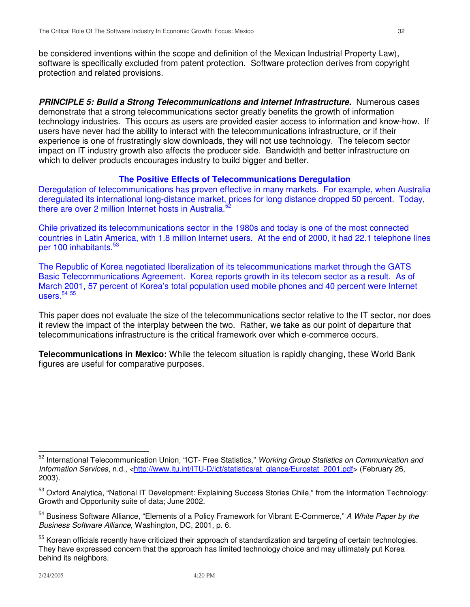be considered inventions within the scope and definition of the Mexican Industrial Property Law), software is specifically excluded from patent protection. Software protection derives from copyright protection and related provisions.

*PRINCIPLE 5: Build a Strong Telecommunications and Internet Infrastructure***.** Numerous cases demonstrate that a strong telecommunications sector greatly benefits the growth of information technology industries. This occurs as users are provided easier access to information and know-how. If users have never had the ability to interact with the telecommunications infrastructure, or if their experience is one of frustratingly slow downloads, they will not use technology. The telecom sector impact on IT industry growth also affects the producer side. Bandwidth and better infrastructure on which to deliver products encourages industry to build bigger and better.

### **The Positive Effects of Telecommunications Deregulation**

Deregulation of telecommunications has proven effective in many markets. For example, when Australia deregulated its international long-distance market, prices for long distance dropped 50 percent. Today, there are over 2 million Internet hosts in Australia.<sup>52</sup>

Chile privatized its telecommunications sector in the 1980s and today is one of the most connected countries in Latin America, with 1.8 million Internet users. At the end of 2000, it had 22.1 telephone lines per 100 inhabitants. 53

The Republic of Korea negotiated liberalization of its telecommunications market through the GATS Basic Telecommunications Agreement. Korea reports growth in its telecom sector as a result. As of March 2001, 57 percent of Korea's total population used mobile phones and 40 percent were Internet users. 54 55

This paper does not evaluate the size of the telecommunications sector relative to the IT sector, nor does it review the impact of the interplay between the two. Rather, we take as our point of departure that telecommunications infrastructure is the critical framework over which e-commerce occurs.

**Telecommunications in Mexico:** While the telecom situation is rapidly changing, these World Bank figures are useful for comparative purposes.

<sup>52</sup> International Telecommunication Union, "ICT- Free Statistics," *Working Group Statistics on Communication and Information Services*, n.d., <http://www.itu.int/ITU-D/ict/statistics/at\_glance/Eurostat\_2001.pdf> (February 26, 2003).

<sup>&</sup>lt;sup>53</sup> Oxford Analytica, "National IT Development: Explaining Success Stories Chile," from the Information Technology: Growth and Opportunity suite of data; June 2002.

<sup>54</sup> Business Software Alliance, "Elements of a Policy Framework for Vibrant E-Commerce," *A White Paper by the Business Software Alliance*, Washington, DC, 2001, p. 6.

<sup>&</sup>lt;sup>55</sup> Korean officials recently have criticized their approach of standardization and targeting of certain technologies. They have expressed concern that the approach has limited technology choice and may ultimately put Korea behind its neighbors.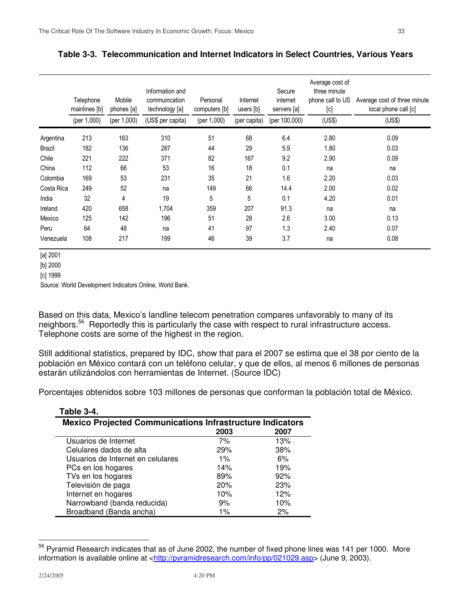|               | Telephone<br>mainlines [b] | Mobile<br>phones [a] | Information and<br>commuincation<br>technology [a] | Personal<br>computers [b] | Internet<br>users [b] | Secure<br>internet<br>servers [a] | Average cost of<br>three minute<br>phone call to US<br>[c] | Average cost of three minute<br>local phone call [c] |
|---------------|----------------------------|----------------------|----------------------------------------------------|---------------------------|-----------------------|-----------------------------------|------------------------------------------------------------|------------------------------------------------------|
|               | (per 1,000)                | (per 1,000)          | (US\$ per capita)                                  | (per 1,000)               | (per capita)          | (per 100,000)                     | (US\$)                                                     | (US\$)                                               |
| Argentina     | 213                        | 163                  | 310                                                | 51                        | 68                    | 6.4                               | 2.80                                                       | 0.09                                                 |
| <b>Brazil</b> | 182                        | 136                  | 287                                                | 44                        | 29                    | 5.9                               | 1.80                                                       | 0.03                                                 |
| Chile         | 221                        | 222                  | 371                                                | 82                        | 167                   | 9.2                               | 2.90                                                       | 0.09                                                 |
| China         | 112                        | 66                   | 53                                                 | 16                        | 18                    | 0.1                               | na                                                         | na                                                   |
| Colombia      | 169                        | 53                   | 231                                                | 35                        | 21                    | 1.6                               | 2.20                                                       | 0.03                                                 |
| Costa Rica    | 249                        | 52                   | na                                                 | 149                       | 66                    | 14.4                              | 2.00                                                       | 0.02                                                 |
| India         | 32                         | 4                    | 19                                                 | 5                         | 5                     | 0.1                               | 4.20                                                       | 0.01                                                 |
| Ireland       | 420                        | 658                  | 1,704                                              | 359                       | 207                   | 91.3                              | na                                                         | na                                                   |
| Mexico        | 125                        | 142                  | 196                                                | 51                        | 28                    | 2.6                               | 3.00                                                       | 0.13                                                 |
| Peru          | 64                         | 48                   | na                                                 | 41                        | 97                    | 1.3                               | 2.40                                                       | 0.07                                                 |
| Venezuela     | 108                        | 217                  | 199                                                | 46                        | 39                    | 3.7                               | na                                                         | 0.08                                                 |

**Table 3-3. Telecommunication and Internet Indicators in Select Countries, Various Years**

[a] 200′

[b] 2000

[c] 1999

Source: World Development Indicators Online, World Bank.

Based on this data, Mexico's landline telecom penetration compares unfavorably to many of its neighbors.<sup>56</sup> Reportedly this is particularly the case with respect to rural infrastructure access. Telephone costs are some of the highest in the region.

Still additional statistics, prepared by IDC, show that para el 2007 se estima que el 38 por ciento de la población en México contará con un teléfono celular, y que de ellos, al menos 6 millones de personas estarán utilizándolos con herramientas de Internet. (Source IDC)

Porcentajes obtenidos sobre 103 millones de personas que conforman la población total de México.

| Table 3-4.                                                       |       |      |  |  |  |  |
|------------------------------------------------------------------|-------|------|--|--|--|--|
| <b>Mexico Projected Communications Infrastructure Indicators</b> |       |      |  |  |  |  |
|                                                                  | 2003  | 2007 |  |  |  |  |
| Usuarios de Internet                                             | 7%    | 13%  |  |  |  |  |
| Celulares dados de alta                                          | 29%   | 38%  |  |  |  |  |
| Usuarios de Internet en celulares                                | $1\%$ | 6%   |  |  |  |  |
| PCs en los hogares                                               | 14%   | 19%  |  |  |  |  |
| TVs en los hogares                                               | 89%   | 92%  |  |  |  |  |
| Televisión de paga                                               | 20%   | 23%  |  |  |  |  |
| Internet en hogares                                              | 10%   | 12%  |  |  |  |  |
| Narrowband (banda reducida)                                      | 9%    | 10%  |  |  |  |  |
| Broadband (Banda ancha)                                          | $1\%$ | 2%   |  |  |  |  |

<sup>&</sup>lt;sup>56</sup> Pyramid Research indicates that as of June 2002, the number of fixed phone lines was 141 per 1000. More information is available online at <http://pyramidresearch.com/info/pp/021029.asp> (June 9, 2003).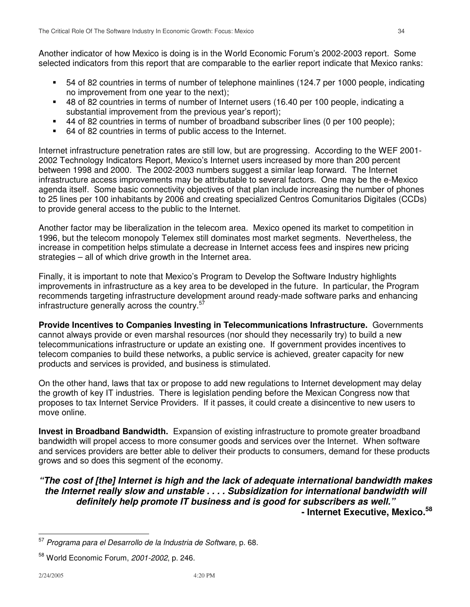Another indicator of how Mexico is doing is in the World Economic Forum's 2002-2003 report. Some selected indicators from this report that are comparable to the earlier report indicate that Mexico ranks:

- 54 of 82 countries in terms of number of telephone mainlines (124.7 per 1000 people, indicating no improvement from one year to the next);
- 48 of 82 countries in terms of number of Internet users (16.40 per 100 people, indicating a substantial improvement from the previous year's report);
- 44 of 82 countries in terms of number of broadband subscriber lines (0 per 100 people);
- 64 of 82 countries in terms of public access to the Internet.

Internet infrastructure penetration rates are still low, but are progressing. According to the WEF 2001- 2002 Technology Indicators Report, Mexico's Internet users increased by more than 200 percent between 1998 and 2000. The 2002-2003 numbers suggest a similar leap forward. The Internet infrastructure access improvements may be attributable to several factors. One may be the e-Mexico agenda itself. Some basic connectivity objectives of that plan include increasing the number of phones to 25 lines per 100 inhabitants by 2006 and creating specialized Centros Comunitarios Digitales (CCDs) to provide general access to the public to the Internet.

Another factor may be liberalization in the telecom area. Mexico opened its market to competition in 1996, but the telecom monopoly Telemex still dominates most market segments. Nevertheless, the increase in competition helps stimulate a decrease in Internet access fees and inspires new pricing strategies – all of which drive growth in the Internet area.

Finally, it is important to note that Mexico's Program to Develop the Software Industry highlights improvements in infrastructure as a key area to be developed in the future. In particular, the Program recommends targeting infrastructure development around ready-made software parks and enhancing infrastructure generally across the country.<sup>57</sup>

**Provide Incentives to Companies Investing in Telecommunications Infrastructure.** Governments cannot always provide or even marshal resources (nor should they necessarily try) to build a new telecommunications infrastructure or update an existing one. If government provides incentives to telecom companies to build these networks, a public service is achieved, greater capacity for new products and services is provided, and business is stimulated.

On the other hand, laws that tax or propose to add new regulations to Internet development may delay the growth of key IT industries. There is legislation pending before the Mexican Congress now that proposes to tax Internet Service Providers. If it passes, it could create a disincentive to new users to move online.

**Invest in Broadband Bandwidth.** Expansion of existing infrastructure to promote greater broadband bandwidth will propel access to more consumer goods and services over the Internet. When software and services providers are better able to deliver their products to consumers, demand for these products grows and so does this segment of the economy.

## *"The cost of [the] Internet is high and the lack of adequate international bandwidth makes the Internet really slow and unstable . . . . Subsidization for international bandwidth will definitely help promote IT business and is good for subscribers as well."*

**- Internet Executive, Mexico. 58**

<sup>57</sup> *Programa para el Desarrollo de la Industria de Software*, p. 68.

<sup>58</sup> World Economic Forum, *2001-2002*, p. 246.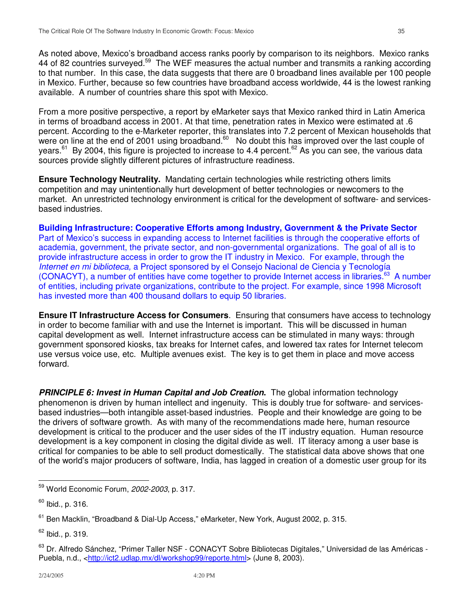As noted above, Mexico's broadband access ranks poorly by comparison to its neighbors. Mexico ranks 44 of 82 countries surveyed.<sup>59</sup> The WEF measures the actual number and transmits a ranking according to that number. In this case, the data suggests that there are 0 broadband lines available per 100 people in Mexico. Further, because so few countries have broadband access worldwide, 44 is the lowest ranking available. A number of countries share this spot with Mexico.

From a more positive perspective, a report by eMarketer says that Mexico ranked third in Latin America in terms of broadband access in 2001. At that time, penetration rates in Mexico were estimated at .6 percent. According to the e-Marketer reporter, this translates into 7.2 percent of Mexican households that were on line at the end of 2001 using broadband.<sup>60</sup> No doubt this has improved over the last couple of years.<sup>61</sup> By 2004, this figure is projected to increase to 4.4 percent.<sup>62</sup> As you can see, the various data sources provide slightly different pictures of infrastructure readiness.

**Ensure Technology Neutrality.** Mandating certain technologies while restricting others limits competition and may unintentionally hurt development of better technologies or newcomers to the market. An unrestricted technology environment is critical for the development of software- and servicesbased industries.

**Building Infrastructure: Cooperative Efforts among Industry, Government & the Private Sector** Part of Mexico's success in expanding access to Internet facilities is through the cooperative efforts of academia, government, the private sector, and non-governmental organizations. The goal of all is to provide infrastructure access in order to grow the IT industry in Mexico. For example, through the *Internet en mi biblioteca,* a Project sponsored by el Consejo Nacional de Ciencia y Tecnología (CONACYT), a number of entities have come together to provide Internet access in libraries. <sup>63</sup> A number of entities, including private organizations, contribute to the project. For example, since 1998 Microsoft has invested more than 400 thousand dollars to equip 50 libraries.

**Ensure IT Infrastructure Access for Consumers**. Ensuring that consumers have access to technology in order to become familiar with and use the Internet is important. This will be discussed in human capital development as well. Internet infrastructure access can be stimulated in many ways: through government sponsored kiosks, tax breaks for Internet cafes, and lowered tax rates for Internet telecom use versus voice use, etc. Multiple avenues exist. The key is to get them in place and move access forward.

*PRINCIPLE 6: Invest in Human Capital and Job Creation***.** The global information technology phenomenon is driven by human intellect and ingenuity. This is doubly true for software- and servicesbased industries—both intangible asset-based industries. People and their knowledge are going to be the drivers of software growth. As with many of the recommendations made here, human resource development is critical to the producer and the user sides of the IT industry equation. Human resource development is a key component in closing the digital divide as well. IT literacy among a user base is critical for companies to be able to sell product domestically. The statistical data above shows that one of the world's major producers of software, India, has lagged in creation of a domestic user group for its

<sup>59</sup> World Economic Forum, *2002-2003*, p. 317.

 $^{60}$  Ibid., p. 316.

<sup>&</sup>lt;sup>61</sup> Ben Macklin, "Broadband & Dial-Up Access," eMarketer, New York, August 2002, p. 315.

<sup>&</sup>lt;sup>62</sup> Ibid., p. 319.

<sup>&</sup>lt;sup>63</sup> Dr. Alfredo Sánchez, "Primer Taller NSF - CONACYT Sobre Bibliotecas Digitales," Universidad de las Américas -Puebla, n.d., <http://ict2.udlap.mx/dl/workshop99/reporte.html> (June 8, 2003).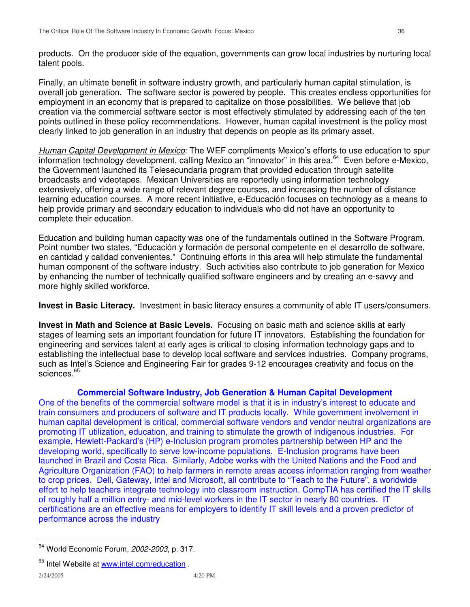products. On the producer side of the equation, governments can grow local industries by nurturing local talent pools.

Finally, an ultimate benefit in software industry growth, and particularly human capital stimulation, is overall job generation. The software sector is powered by people. This creates endless opportunities for employment in an economy that is prepared to capitalize on those possibilities. We believe that job creation via the commercial software sector is most effectively stimulated by addressing each of the ten points outlined in these policy recommendations. However, human capital investment is the policy most clearly linked to job generation in an industry that depends on people as its primary asset.

*Human Capital Development in Mexico*: The WEF compliments Mexico's efforts to use education to spur information technology development, calling Mexico an "innovator" in this area. <sup>64</sup> Even before e-Mexico, the Government launched its Telesecundaria program that provided education through satellite broadcasts and videotapes. Mexican Universities are reportedly using information technology extensively, offering a wide range of relevant degree courses, and increasing the number of distance learning education courses. A more recent initiative, e-Educación focuses on technology as a means to help provide primary and secondary education to individuals who did not have an opportunity to complete their education.

Education and building human capacity was one of the fundamentals outlined in the Software Program. Point number two states, "Educación y formación de personal competente en el desarrollo de software, en cantidad y calidad convenientes." Continuing efforts in this area will help stimulate the fundamental human component of the software industry. Such activities also contribute to job generation for Mexico by enhancing the number of technically qualified software engineers and by creating an e-savvy and more highly skilled workforce.

**Invest in Basic Literacy.** Investment in basic literacy ensures a community of able IT users/consumers.

**Invest in Math and Science at Basic Levels.** Focusing on basic math and science skills at early stages of learning sets an important foundation for future IT innovators. Establishing the foundation for engineering and services talent at early ages is critical to closing information technology gaps and to establishing the intellectual base to develop local software and services industries. Company programs, such as Intel's Science and Engineering Fair for grades 9-12 encourages creativity and focus on the sciences.<sup>65</sup>

### **Commercial Software Industry, Job Generation & Human Capital Development**

One of the benefits of the commercial software model is that it is in industry's interest to educate and train consumers and producers of software and IT products locally. While government involvement in human capital development is critical, commercial software vendors and vendor neutral organizations are promoting IT utilization, education, and training to stimulate the growth of indigenous industries. For example, Hewlett-Packard's (HP) e-Inclusion program promotes partnership between HP and the developing world, specifically to serve low-income populations. E-Inclusion programs have been launched in Brazil and Costa Rica. Similarly, Adobe works with the United Nations and the Food and Agriculture Organization (FAO) to help farmers in remote areas access information ranging from weather to crop prices. Dell, Gateway, Intel and Microsoft, all contribute to "Teach to the Future", a worldwide effort to help teachers integrate technology into classroom instruction. CompTIA has certified the IT skills of roughly half a million entry- and mid-level workers in the IT sector in nearly 80 countries. IT certifications are an effective means for employers to identify IT skill levels and a proven predictor of performance across the industry

<sup>64</sup> World Economic Forum, *2002-2003*, p. 317.

<sup>&</sup>lt;sup>65</sup> Intel Website at www.intel.com/education .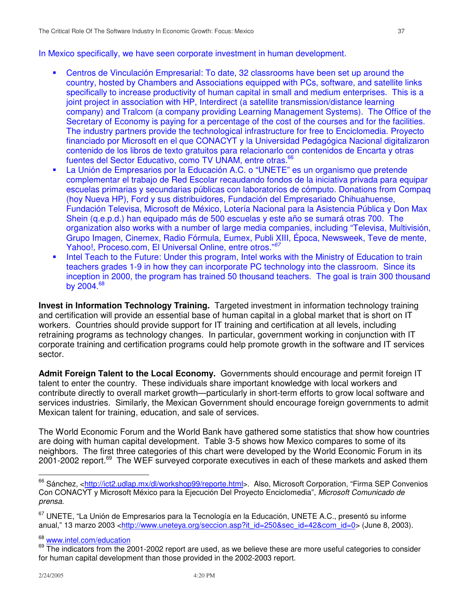In Mexico specifically, we have seen corporate investment in human development.

- Centros de Vinculación Empresarial: To date, 32 classrooms have been set up around the country, hosted by Chambers and Associations equipped with PCs, software, and satellite links specifically to increase productivity of human capital in small and medium enterprises. This is a joint project in association with HP, Interdirect (a satellite transmission/distance learning company) and Tralcom (a company providing Learning Management Systems). The Office of the Secretary of Economy is paying for a percentage of the cost of the courses and for the facilities. The industry partners provide the technological infrastructure for free to Enciclomedia. Proyecto financiado por Microsoft en el que CONACYT y la Universidad Pedagógica Nacional digitalizaron contenido de los libros de texto gratuitos para relacionarlo con contenidos de Encarta y otras fuentes del Sector Educativo, como TV UNAM, entre otras. 66
- La Unión de Empresarios por la Educación A.C. o "UNETE" es un organismo que pretende complementar el trabajo de Red Escolar recaudando fondos de la iniciativa privada para equipar escuelas primarias y secundarias públicas con laboratorios de cómputo. Donations from Compaq (hoy Nueva HP), Ford y sus distribuidores, Fundación del Empresariado Chihuahuense, Fundación Televisa, Microsoft de México, Lotería Nacional para la Asistencia Pública y Don Max Shein (q.e.p.d.) han equipado más de 500 escuelas y este año se sumará otras 700. The organization also works with a number of large media companies, including "Televisa, Multivisión, Grupo Imagen, Cinemex, Radio Fórmula, Eumex, Publi XIII, Época, Newsweek, Teve de mente, Yahoo!, Proceso.com, El Universal Online, entre otros." *67*
- Intel Teach to the Future: Under this program, Intel works with the Ministry of Education to train teachers grades 1-9 in how they can incorporate PC technology into the classroom. Since its inception in 2000, the program has trained 50 thousand teachers. The goal is train 300 thousand by 2004.<sup>68</sup>

**Invest in Information Technology Training.** Targeted investment in information technology training and certification will provide an essential base of human capital in a global market that is short on IT workers. Countries should provide support for IT training and certification at all levels, including retraining programs as technology changes. In particular, government working in conjunction with IT corporate training and certification programs could help promote growth in the software and IT services sector.

**Admit Foreign Talent to the Local Economy.** Governments should encourage and permit foreign IT talent to enter the country. These individuals share important knowledge with local workers and contribute directly to overall market growth—particularly in short-term efforts to grow local software and services industries. Similarly, the Mexican Government should encourage foreign governments to admit Mexican talent for training, education, and sale of services.

The World Economic Forum and the World Bank have gathered some statistics that show how countries are doing with human capital development. Table 3-5 shows how Mexico compares to some of its neighbors. The first three categories of this chart were developed by the World Economic Forum in its 2001-2002 report.<sup>69</sup> The WEF surveyed corporate executives in each of these markets and asked them

<sup>68</sup> www.intel.com/education

<sup>&</sup>lt;sup>66</sup> Sánchez, <<u>http://ict2.udlap.mx/dl/workshop99/reporte.html</u>>. Also, Microsoft Corporation, "Firma SEP Convenios Con CONACYT y Microsoft México para la Ejecución Del Proyecto Enciclomedia", *Microsoft Comunicado de prensa*.

<sup>&</sup>lt;sup>67</sup> UNETE, "La Unión de Empresarios para la Tecnología en la Educación, UNETE A.C., presentó su informe anual," 13 marzo 2003 <http://www.uneteya.org/seccion.asp?it\_id=250&sec\_id=42&com\_id=0> (June 8, 2003).

 $^{69}$  The indicators from the 2001-2002 report are used, as we believe these are more useful categories to consider for human capital development than those provided in the 2002-2003 report.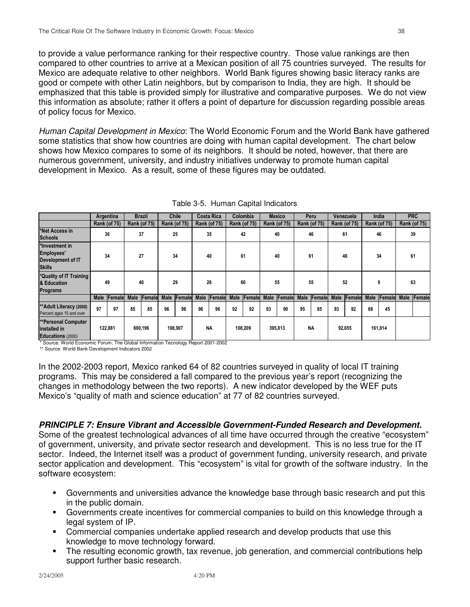to provide a value performance ranking for their respective country. Those value rankings are then compared to other countries to arrive at a Mexican position of all 75 countries surveyed. The results for Mexico are adequate relative to other neighbors. World Bank figures showing basic literacy ranks are good or compete with other Latin neighbors, but by comparison to India, they are high. It should be emphasized that this table is provided simply for illustrative and comparative purposes. We do not view this information as absolute; rather it offers a point of departure for discussion regarding possible areas of policy focus for Mexico.

*Human Capital Development in Mexico*: The World Economic Forum and the World Bank have gathered some statistics that show how countries are doing with human capital development. The chart below shows how Mexico compares to some of its neighbors. It should be noted, however, that there are numerous government, university, and industry initiatives underway to promote human capital development in Mexico. As a result, some of these figures may be outdated.

|                                                                                  |             | Argentina           |             | <b>Brazil</b>       |                      | <b>Chile</b>        |             | <b>Costa Rica</b>   |      | Colombia            |      | <b>Mexico</b>       |             | Peru                |             | Venezuela           |             | India               |             | <b>PRC</b>   |
|----------------------------------------------------------------------------------|-------------|---------------------|-------------|---------------------|----------------------|---------------------|-------------|---------------------|------|---------------------|------|---------------------|-------------|---------------------|-------------|---------------------|-------------|---------------------|-------------|--------------|
|                                                                                  |             | <b>Rank (of 75)</b> |             | <b>Rank (of 75)</b> |                      | <b>Rank (of 75)</b> |             | <b>Rank (of 75)</b> |      | <b>Rank (of 75)</b> |      | <b>Rank (of 75)</b> |             | <b>Rank (of 75)</b> |             | <b>Rank (of 75)</b> |             | <b>Rank (of 75)</b> |             | Rank (of 75) |
| *Net Access in<br><b>Schools</b>                                                 |             | 36                  |             | 37                  |                      | 25                  |             | 35                  |      | 42                  |      | 40                  |             | 46                  | 61          |                     | 46          |                     | 39          |              |
| <b>*Investment</b> in<br><b>Employees'</b><br>Development of IT<br><b>Skills</b> |             | 34                  | 27          |                     |                      | 34                  | 40          |                     | 61   |                     | 40   |                     | 61          |                     | 46          |                     | 34          |                     | 61          |              |
| *Quality of IT Training<br>& Education<br><b>Programs</b>                        |             | 49                  |             | 40                  |                      | 29                  |             | 26                  |      | 60                  |      | 55                  |             | 55                  |             | 52                  |             | 9                   |             | 63           |
|                                                                                  | <b>Male</b> | Female              | <b>Male</b> | Female              | <b>Male</b>          | Female              | <b>Male</b> | Female              | Male | Female              | Male | Female              | <b>Male</b> | Female              | <b>Male</b> | Female              | <b>Male</b> | Female              | <b>Male</b> | Female       |
| ** Adult Literacy (2000)<br>Percent ages 15 and over                             | 97          | 97                  | 85          | 85                  | 96                   | 96                  | 96          | 96                  | 92   | 92                  | 93   | 90                  | 95          | 85                  | 93          | 92                  | 68          | 45                  |             |              |
| <b>**Personal Computer</b><br>installed in<br><b>Educations (2000)</b>           |             | 122.881             | 690.196     |                     | <b>NA</b><br>108,907 |                     | 108.209     |                     |      | 395,813             |      | <b>NA</b>           |             | 92,655              |             | 161,014             |             |                     |             |              |

\* Source: World Economic Forum, The Global Information Tecnology Report 2001-2002

\*\* Source: World Bank Development Indicators 2002

In the 2002-2003 report, Mexico ranked 64 of 82 countries surveyed in quality of local IT training programs. This may be considered a fall compared to the previous year's report (recognizing the changes in methodology between the two reports). A new indicator developed by the WEF puts Mexico's "quality of math and science education" at 77 of 82 countries surveyed.

### *PRINCIPLE 7: Ensure Vibrant and Accessible Government-Funded Research and Development.*

Some of the greatest technological advances of all time have occurred through the creative "ecosystem" of government, university, and private sector research and development. This is no less true for the IT sector. Indeed, the Internet itself was a product of government funding, university research, and private sector application and development. This "ecosystem" is vital for growth of the software industry. In the software ecosystem:

- Governments and universities advance the knowledge base through basic research and put this in the public domain.
- Governments create incentives for commercial companies to build on this knowledge through a legal system of IP.
- Commercial companies undertake applied research and develop products that use this knowledge to move technology forward.
- The resulting economic growth, tax revenue, job generation, and commercial contributions help support further basic research.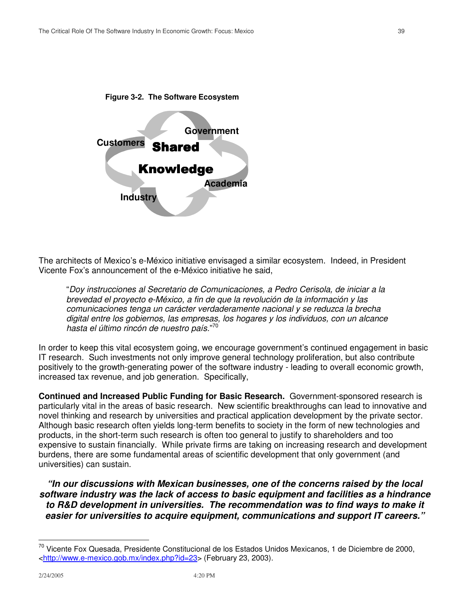

The architects of Mexico's e-México initiative envisaged a similar ecosystem. Indeed, in President Vicente Fox's announcement of the e-México initiative he said,

"*Doy instrucciones al Secretario de Comunicaciones, a Pedro Cerisola, de iniciar a la brevedad el proyecto e-México, a fin de que la revolución de la información y las comunicaciones tenga un carácter verdaderamente nacional y se reduzca la brecha digital entre los gobiernos, las empresas, los hogares y los individuos, con un alcance hasta el último rincón de nuestro país.*" 70

In order to keep this vital ecosystem going, we encourage government's continued engagement in basic IT research. Such investments not only improve general technology proliferation, but also contribute positively to the growth-generating power of the software industry - leading to overall economic growth, increased tax revenue, and job generation. Specifically,

**Continued and Increased Public Funding for Basic Research.** Government-sponsored research is particularly vital in the areas of basic research. New scientific breakthroughs can lead to innovative and novel thinking and research by universities and practical application development by the private sector. Although basic research often yields long-term benefits to society in the form of new technologies and products, in the short-term such research is often too general to justify to shareholders and too expensive to sustain financially. While private firms are taking on increasing research and development burdens, there are some fundamental areas of scientific development that only government (and universities) can sustain.

*"In our discussions with Mexican businesses, one of the concerns raised by the local software industry was the lack of access to basic equipment and facilities as a hindrance to R&D development in universities. The recommendation was to find ways to make it easier for universities to acquire equipment, communications and support IT careers."*

<sup>&</sup>lt;sup>70</sup> Vicente Fox Quesada, Presidente Constitucional de los Estados Unidos Mexicanos, 1 de Diciembre de 2000, <http://www.e-mexico.gob.mx/index.php?id=23> (February 23, 2003).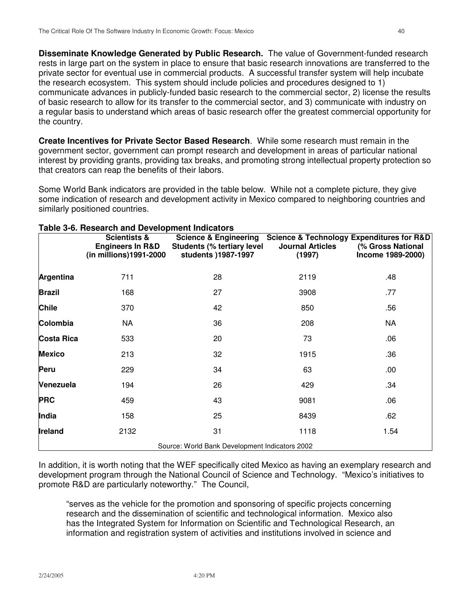**Disseminate Knowledge Generated by Public Research.** The value of Government-funded research rests in large part on the system in place to ensure that basic research innovations are transferred to the private sector for eventual use in commercial products. A successful transfer system will help incubate the research ecosystem. This system should include policies and procedures designed to 1) communicate advances in publicly-funded basic research to the commercial sector, 2) license the results of basic research to allow for its transfer to the commercial sector, and 3) communicate with industry on a regular basis to understand which areas of basic research offer the greatest commercial opportunity for the country.

**Create Incentives for Private Sector Based Research**. While some research must remain in the government sector, government can prompt research and development in areas of particular national interest by providing grants, providing tax breaks, and promoting strong intellectual property protection so that creators can reap the benefits of their labors.

Some World Bank indicators are provided in the table below. While not a complete picture, they give some indication of research and development activity in Mexico compared to neighboring countries and similarly positioned countries.

|                   | rapic J-0. Hesearch and Development mulcators<br><b>Scientists &amp;</b><br><b>Engineers In R&amp;D</b><br>(in millions)1991-2000 | <b>Science &amp; Engineering</b><br>Students (% tertiary level<br>students )1987-1997 | Science & Technology Expenditures for R&D<br><b>Journal Articles</b><br>(1997) | (% Gross National<br>Income 1989-2000) |
|-------------------|-----------------------------------------------------------------------------------------------------------------------------------|---------------------------------------------------------------------------------------|--------------------------------------------------------------------------------|----------------------------------------|
| Argentina         | 711                                                                                                                               | 28                                                                                    | 2119                                                                           | .48                                    |
| <b>Brazil</b>     | 168                                                                                                                               | 27                                                                                    | 3908                                                                           | .77                                    |
| <b>Chile</b>      | 370                                                                                                                               | 42                                                                                    | 850                                                                            | .56                                    |
| Colombia          | <b>NA</b>                                                                                                                         | 36                                                                                    | 208                                                                            | <b>NA</b>                              |
| <b>Costa Rica</b> | 533                                                                                                                               | 20                                                                                    | 73                                                                             | .06                                    |
| <b>Mexico</b>     | 213                                                                                                                               | 32                                                                                    | 1915                                                                           | .36                                    |
| Peru              | 229                                                                                                                               | 34                                                                                    | 63                                                                             | .00                                    |
| Venezuela         | 194                                                                                                                               | 26                                                                                    | 429                                                                            | .34                                    |
| <b>PRC</b>        | 459                                                                                                                               | 43                                                                                    | 9081                                                                           | .06                                    |
| India             | 158                                                                                                                               | 25                                                                                    | 8439                                                                           | .62                                    |
| Ireland           | 2132                                                                                                                              | 31                                                                                    | 1118                                                                           | 1.54                                   |
|                   |                                                                                                                                   | Source: World Bank Development Indicators 2002                                        |                                                                                |                                        |

### **Table 3-6. Research and Development Indicators**

In addition, it is worth noting that the WEF specifically cited Mexico as having an exemplary research and development program through the National Council of Science and Technology. "Mexico's initiatives to promote R&D are particularly noteworthy." The Council,

"serves as the vehicle for the promotion and sponsoring of specific projects concerning research and the dissemination of scientific and technological information. Mexico also has the Integrated System for Information on Scientific and Technological Research, an information and registration system of activities and institutions involved in science and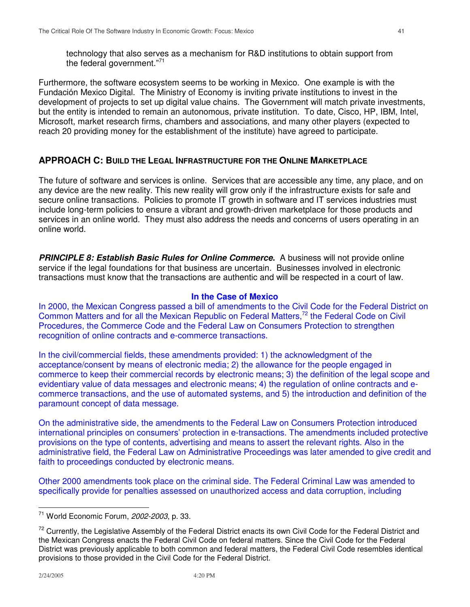Furthermore, the software ecosystem seems to be working in Mexico. One example is with the Fundación Mexico Digital. The Ministry of Economy is inviting private institutions to invest in the development of projects to set up digital value chains. The Government will match private investments, but the entity is intended to remain an autonomous, private institution. To date, Cisco, HP, IBM, Intel, Microsoft, market research firms, chambers and associations, and many other players (expected to reach 20 providing money for the establishment of the institute) have agreed to participate.

### **APPROACH C: BUILD THE LEGAL INFRASTRUCTURE FOR THE ONLINE MARKETPLACE**

The future of software and services is online. Services that are accessible any time, any place, and on any device are the new reality. This new reality will grow only if the infrastructure exists for safe and secure online transactions. Policies to promote IT growth in software and IT services industries must include long-term policies to ensure a vibrant and growth-driven marketplace for those products and services in an online world. They must also address the needs and concerns of users operating in an online world.

*PRINCIPLE 8: Establish Basic Rules for Online Commerce***.** A business will not provide online service if the legal foundations for that business are uncertain. Businesses involved in electronic transactions must know that the transactions are authentic and will be respected in a court of law.

### **In the Case of Mexico**

In 2000, the Mexican Congress passed a bill of amendments to the Civil Code for the Federal District on Common Matters and for all the Mexican Republic on Federal Matters,<sup>72</sup> the Federal Code on Civil Procedures, the Commerce Code and the Federal Law on Consumers Protection to strengthen recognition of online contracts and e-commerce transactions.

In the civil/commercial fields, these amendments provided: 1) the acknowledgment of the acceptance/consent by means of electronic media; 2) the allowance for the people engaged in commerce to keep their commercial records by electronic means; 3) the definition of the legal scope and evidentiary value of data messages and electronic means; 4) the regulation of online contracts and ecommerce transactions, and the use of automated systems, and 5) the introduction and definition of the paramount concept of data message.

On the administrative side, the amendments to the Federal Law on Consumers Protection introduced international principles on consumers' protection in e-transactions. The amendments included protective provisions on the type of contents, advertising and means to assert the relevant rights. Also in the administrative field, the Federal Law on Administrative Proceedings was later amended to give credit and faith to proceedings conducted by electronic means.

Other 2000 amendments took place on the criminal side. The Federal Criminal Law was amended to specifically provide for penalties assessed on unauthorized access and data corruption, including

<sup>71</sup> World Economic Forum, *2002-2003*, p. 33.

<sup>&</sup>lt;sup>72</sup> Currently, the Legislative Assembly of the Federal District enacts its own Civil Code for the Federal District and the Mexican Congress enacts the Federal Civil Code on federal matters. Since the Civil Code for the Federal District was previously applicable to both common and federal matters, the Federal Civil Code resembles identical provisions to those provided in the Civil Code for the Federal District.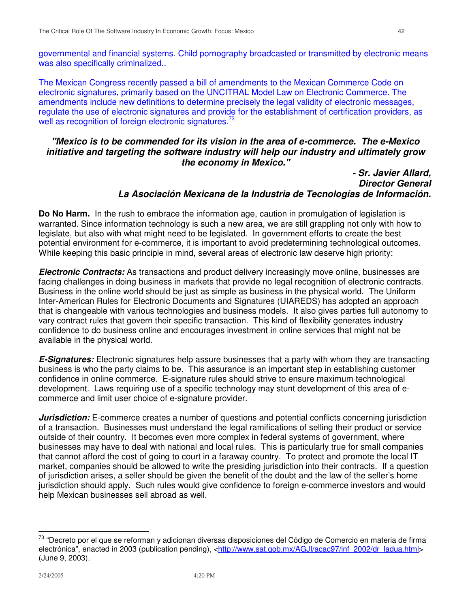governmental and financial systems. Child pornography broadcasted or transmitted by electronic means was also specifically criminalized..

The Mexican Congress recently passed a bill of amendments to the Mexican Commerce Code on electronic signatures, primarily based on the UNCITRAL Model Law on Electronic Commerce. The amendments include new definitions to determine precisely the legal validity of electronic messages, regulate the use of electronic signatures and provide for the establishment of certification providers, as well as recognition of foreign electronic signatures.<sup>73</sup>

### *"Mexico is to be commended for its vision in the area of e-commerce. The e-Mexico initiative and targeting the software industry will help our industry and ultimately grow the economy in Mexico."*

*- Sr. Javier Allard, Director General La Asociación Mexicana de la Industria de Tecnologías de Información.*

**Do No Harm.** In the rush to embrace the information age, caution in promulgation of legislation is warranted. Since information technology is such a new area, we are still grappling not only with how to legislate, but also with what might need to be legislated. In government efforts to create the best potential environment for e-commerce, it is important to avoid predetermining technological outcomes. While keeping this basic principle in mind, several areas of electronic law deserve high priority:

*Electronic Contracts:* As transactions and product delivery increasingly move online, businesses are facing challenges in doing business in markets that provide no legal recognition of electronic contracts. Business in the online world should be just as simple as business in the physical world. The Uniform Inter-American Rules for Electronic Documents and Signatures (UIAREDS) has adopted an approach that is changeable with various technologies and business models. It also gives parties full autonomy to vary contract rules that govern their specific transaction. This kind of flexibility generates industry confidence to do business online and encourages investment in online services that might not be available in the physical world.

*E-Signatures:* Electronic signatures help assure businesses that a party with whom they are transacting business is who the party claims to be. This assurance is an important step in establishing customer confidence in online commerce. E-signature rules should strive to ensure maximum technological development. Laws requiring use of a specific technology may stunt development of this area of ecommerce and limit user choice of e-signature provider.

*Jurisdiction:* E-commerce creates a number of questions and potential conflicts concerning jurisdiction of a transaction. Businesses must understand the legal ramifications of selling their product or service outside of their country. It becomes even more complex in federal systems of government, where businesses may have to deal with national and local rules. This is particularly true for small companies that cannot afford the cost of going to court in a faraway country. To protect and promote the local IT market, companies should be allowed to write the presiding jurisdiction into their contracts. If a question of jurisdiction arises, a seller should be given the benefit of the doubt and the law of the seller's home jurisdiction should apply. Such rules would give confidence to foreign e-commerce investors and would help Mexican businesses sell abroad as well.

<sup>&</sup>lt;sup>73</sup> "Decreto por el que se reforman y adicionan diversas disposiciones del Código de Comercio en materia de firma electrónica", enacted in 2003 (publication pending), <http://www.sat.gob.mx/AGJI/acac97/inf\_2002/dr\_ladua.html> (June 9, 2003).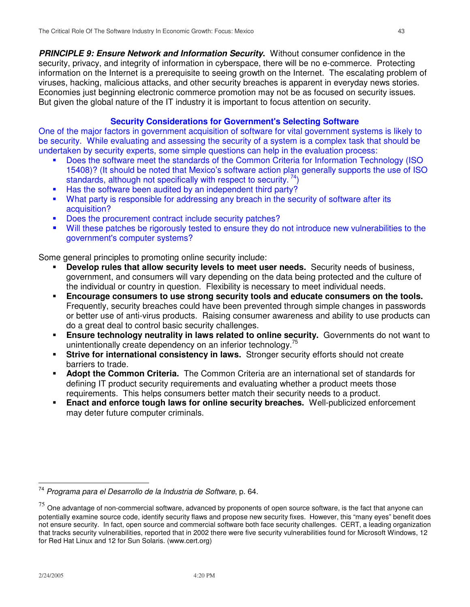*PRINCIPLE 9: Ensure Network and Information Security***.** Without consumer confidence in the security, privacy, and integrity of information in cyberspace, there will be no e-commerce. Protecting information on the Internet is a prerequisite to seeing growth on the Internet. The escalating problem of viruses, hacking, malicious attacks, and other security breaches is apparent in everyday news stories. Economies just beginning electronic commerce promotion may not be as focused on security issues. But given the global nature of the IT industry it is important to focus attention on security.

### **Security Considerations for Government's Selecting Software**

One of the major factors in government acquisition of software for vital government systems is likely to be security. While evaluating and assessing the security of a system is a complex task that should be undertaken by security experts, some simple questions can help in the evaluation process:

- Does the software meet the standards of the Common Criteria for Information Technology (ISO 15408)? (It should be noted that Mexico's software action plan generally supports the use of ISO standards, although not specifically with respect to security.<sup>74</sup>)
- Has the software been audited by an independent third party?
- What party is responsible for addressing any breach in the security of software after its acquisition?
- Does the procurement contract include security patches?
- **Will these patches be rigorously tested to ensure they do not introduce new vulnerabilities to the** government's computer systems?

Some general principles to promoting online security include:

- **Develop rules that allow security levels to meet user needs.** Security needs of business, government, and consumers will vary depending on the data being protected and the culture of the individual or country in question. Flexibility is necessary to meet individual needs.
- **Encourage consumers to use strong security tools and educate consumers on the tools.** Frequently, security breaches could have been prevented through simple changes in passwords or better use of anti-virus products. Raising consumer awareness and ability to use products can do a great deal to control basic security challenges.
- **Ensure technology neutrality in laws related to online security.** Governments do not want to unintentionally create dependency on an inferior technology.<sup>75</sup>
- **Strive for international consistency in laws.** Stronger security efforts should not create barriers to trade.
- **Adopt the Common Criteria.** The Common Criteria are an international set of standards for defining IT product security requirements and evaluating whether a product meets those requirements. This helps consumers better match their security needs to a product.
- **Enact and enforce tough laws for online security breaches.** Well-publicized enforcement may deter future computer criminals.

<sup>74</sup> *Programa para el Desarrollo de la Industria de Software*, p. 64.

 $^{75}$  One advantage of non-commercial software, advanced by proponents of open source software, is the fact that anyone can potentially examine source code, identify security flaws and propose new security fixes. However, this "many eyes" benefit does not ensure security. In fact, open source and commercial software both face security challenges. CERT, a leading organization that tracks security vulnerabilities, reported that in 2002 there were five security vulnerabilities found for Microsoft Windows, 12 for Red Hat Linux and 12 for Sun Solaris. (www.cert.org)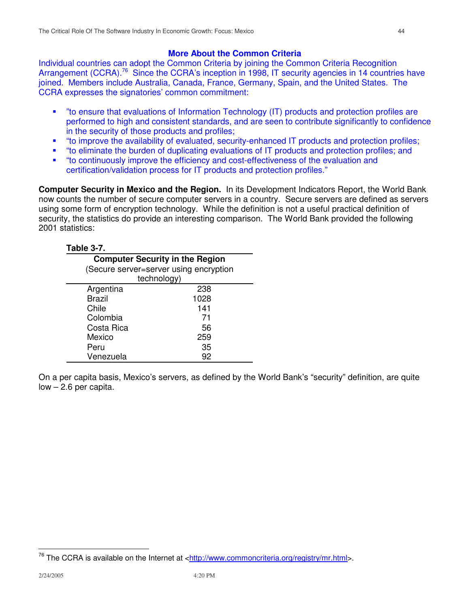### **More About the Common Criteria**

Individual countries can adopt the Common Criteria by joining the Common Criteria Recognition Arrangement (CCRA).<sup>76</sup> Since the CCRA's inception in 1998, IT security agencies in 14 countries have joined. Members include Australia, Canada, France, Germany, Spain, and the United States. The CCRA expresses the signatories' common commitment:

- "to ensure that evaluations of Information Technology (IT) products and protection profiles are performed to high and consistent standards, and are seen to contribute significantly to confidence in the security of those products and profiles;
- "to improve the availability of evaluated, security-enhanced IT products and protection profiles;
- "to eliminate the burden of duplicating evaluations of IT products and protection profiles; and
- "to continuously improve the efficiency and cost-effectiveness of the evaluation and certification/validation process for IT products and protection profiles."

**Computer Security in Mexico and the Region.** In its Development Indicators Report, the World Bank now counts the number of secure computer servers in a country. Secure servers are defined as servers using some form of encryption technology. While the definition is not a useful practical definition of security, the statistics do provide an interesting comparison. The World Bank provided the following 2001 statistics:

### **Table 3-7.**

| <b>Computer Security in the Region</b> |      |  |  |  |  |  |  |
|----------------------------------------|------|--|--|--|--|--|--|
| (Secure server=server using encryption |      |  |  |  |  |  |  |
| technology)                            |      |  |  |  |  |  |  |
| Argentina                              | 238  |  |  |  |  |  |  |
| <b>Brazil</b>                          | 1028 |  |  |  |  |  |  |
| Chile                                  | 141  |  |  |  |  |  |  |
| Colombia                               | 71   |  |  |  |  |  |  |
| Costa Rica                             | 56   |  |  |  |  |  |  |
| Mexico                                 | 259  |  |  |  |  |  |  |
| Peru                                   | 35   |  |  |  |  |  |  |
| Venezuela                              | 92   |  |  |  |  |  |  |

On a per capita basis, Mexico's servers, as defined by the World Bank's "security" definition, are quite  $low - 2.6$  per capita.

<sup>&</sup>lt;sup>76</sup> The CCRA is available on the Internet at <http://www.commoncriteria.org/registry/mr.html>.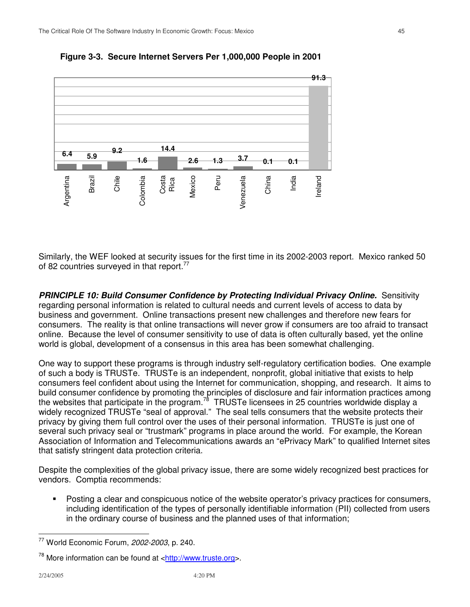

Figure 3-3. Secure Internet Servers Per 1,000,000 People in 2001

Similarly, the WEF looked at security issues for the first time in its 2002-2003 report. Mexico ranked 50 of 82 countries surveyed in that report.<sup>77</sup>

*PRINCIPLE 10: Build Consumer Confidence by Protecting Individual Privacy Online.* Sensitivity regarding personal information is related to cultural needs and current levels of access to data by business and government. Online transactions present new challenges and therefore new fears for consumers. The reality is that online transactions will never grow if consumers are too afraid to transact online. Because the level of consumer sensitivity to use of data is often culturally based, yet the online world is global, development of a consensus in this area has been somewhat challenging.

One way to support these programs is through industry self-regulatory certification bodies. One example of such a body is TRUSTe. TRUSTe is an independent, nonprofit, global initiative that exists to help consumers feel confident about using the Internet for communication, shopping, and research. It aims to build consumer confidence by promoting the principles of disclosure and fair information practices among the websites that participate in the program.<sup>78</sup> TRUSTe licensees in 25 countries worldwide display a widely recognized TRUSTe "seal of approval." The seal tells consumers that the website protects their privacy by giving them full control over the uses of their personal information. TRUSTe is just one of several such privacy seal or "trustmark" programs in place around the world. For example, the Korean Association of Information and Telecommunications awards an "ePrivacy Mark" to qualified Internet sites that satisfy stringent data protection criteria.

Despite the complexities of the global privacy issue, there are some widely recognized best practices for vendors. Comptia recommends:

 Posting a clear and conspicuous notice of the website operator's privacy practices for consumers, including identification of the types of personally identifiable information (PII) collected from users in the ordinary course of business and the planned uses of that information;

<sup>77</sup> World Economic Forum, *2002-2003*, p. 240.

 $78$  More information can be found at <http://www.truste.org>.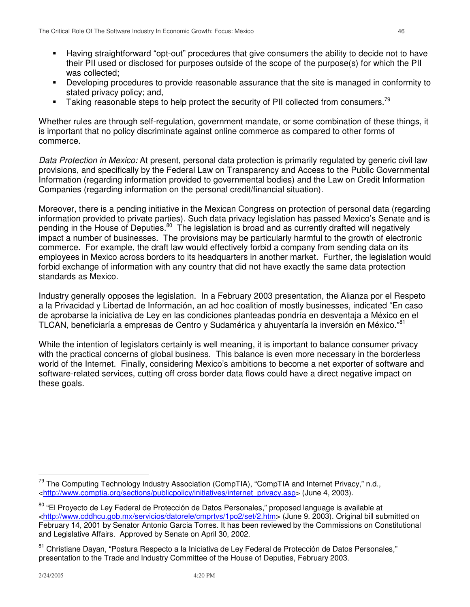- Having straightforward "opt-out" procedures that give consumers the ability to decide not to have their PII used or disclosed for purposes outside of the scope of the purpose(s) for which the PII was collected;
- Developing procedures to provide reasonable assurance that the site is managed in conformity to stated privacy policy; and,
- $\blacksquare$  Taking reasonable steps to help protect the security of PII collected from consumers.<sup>79</sup>

Whether rules are through self-regulation, government mandate, or some combination of these things, it is important that no policy discriminate against online commerce as compared to other forms of commerce.

*Data Protection in Mexico:* At present, personal data protection is primarily regulated by generic civil law provisions, and specifically by the Federal Law on Transparency and Access to the Public Governmental Information (regarding information provided to governmental bodies) and the Law on Credit Information Companies (regarding information on the personal credit/financial situation).

Moreover, there is a pending initiative in the Mexican Congress on protection of personal data (regarding information provided to private parties). Such data privacy legislation has passed Mexico's Senate and is pending in the House of Deputies.<sup>80</sup> The legislation is broad and as currently drafted will negatively impact a number of businesses. The provisions may be particularly harmful to the growth of electronic commerce. For example, the draft law would effectively forbid a company from sending data on its employees in Mexico across borders to its headquarters in another market. Further, the legislation would forbid exchange of information with any country that did not have exactly the same data protection standards as Mexico.

Industry generally opposes the legislation. In a February 2003 presentation, the Alianza por el Respeto a la Privacidad y Libertad de Información, an ad hoc coalition of mostly businesses, indicated "En caso de aprobarse la iniciativa de Ley en las condiciones planteadas pondría en desventaja a México en el TLCAN, beneficiaría a empresas de Centro y Sudamérica y ahuyentaría la inversión en México."<sup>81</sup>

While the intention of legislators certainly is well meaning, it is important to balance consumer privacy with the practical concerns of global business. This balance is even more necessary in the borderless world of the Internet. Finally, considering Mexico's ambitions to become a net exporter of software and software-related services, cutting off cross border data flows could have a direct negative impact on these goals.

<sup>&</sup>lt;sup>79</sup> The Computing Technology Industry Association (CompTIA), "CompTIA and Internet Privacy," n.d., <http://www.comptia.org/sections/publicpolicy/initiatives/internet\_privacy.asp> (June 4, 2003).

<sup>&</sup>lt;sup>80</sup> "El Proyecto de Ley Federal de Protección de Datos Personales," proposed language is available at <http://www.cddhcu.gob.mx/servicios/datorele/cmprtvs/1po2/set/2.htm> (June 9. 2003). Original bill submitted on February 14, 2001 by Senator Antonio Garcia Torres. It has been reviewed by the Commissions on Constitutional and Legislative Affairs. Approved by Senate on April 30, 2002.

<sup>&</sup>lt;sup>81</sup> Christiane Dayan, "Postura Respecto a la Iniciativa de Ley Federal de Protección de Datos Personales," presentation to the Trade and Industry Committee of the House of Deputies, February 2003.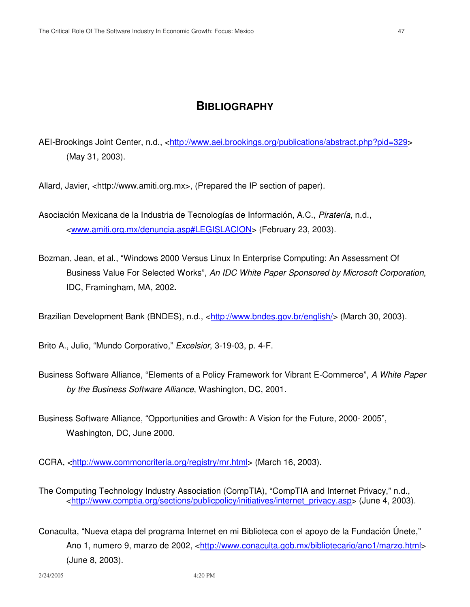AEI-Brookings Joint Center, n.d., <http://www.aei.brookings.org/publications/abstract.php?pid=329> (May 31, 2003).

Allard, Javier, <http://www.amiti.org.mx>, (Prepared the IP section of paper).

Asociación Mexicana de la Industria de Tecnologías de Información, A.C., *Piratería*, n.d., <www.amiti.org.mx/denuncia.asp#LEGISLACION> (February 23, 2003).

Bozman, Jean, et al., "Windows 2000 Versus Linux In Enterprise Computing: An Assessment Of Business Value For Selected Works", *An IDC White Paper Sponsored by Microsoft Corporation*, IDC, Framingham, MA, 2002**.**

Brazilian Development Bank (BNDES), n.d., <http://www.bndes.gov.br/english/> (March 30, 2003).

Brito A., Julio, "Mundo Corporativo," *Excelsior*, 3-19-03, p. 4-F.

Business Software Alliance, "Elements of a Policy Framework for Vibrant E-Commerce", *A White Paper by the Business Software Alliance*, Washington, DC, 2001.

Business Software Alliance, "Opportunities and Growth: A Vision for the Future, 2000- 2005", Washington, DC, June 2000.

CCRA, <http://www.commoncriteria.org/registry/mr.html> (March 16, 2003).

The Computing Technology Industry Association (CompTIA), "CompTIA and Internet Privacy," n.d., <http://www.comptia.org/sections/publicpolicy/initiatives/internet\_privacy.asp> (June 4, 2003).

Conaculta, "Nueva etapa del programa Internet en mi Biblioteca con el apoyo de la Fundación Únete," Ano 1, numero 9, marzo de 2002, <http://www.conaculta.gob.mx/bibliotecario/ano1/marzo.html> (June 8, 2003).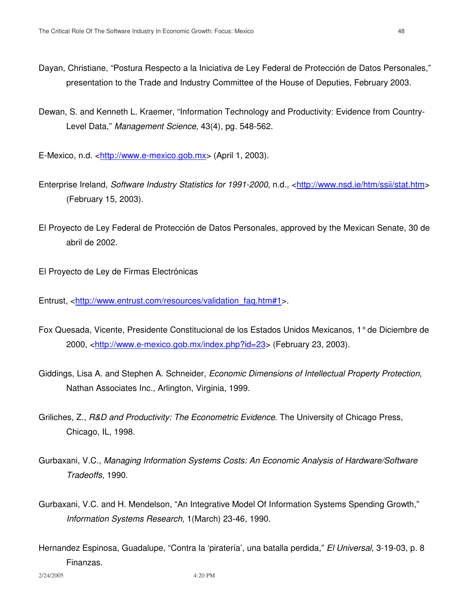- Dayan, Christiane, "Postura Respecto a la Iniciativa de Ley Federal de Protección de Datos Personales," presentation to the Trade and Industry Committee of the House of Deputies, February 2003.
- Dewan, S. and Kenneth L. Kraemer, "Information Technology and Productivity: Evidence from Country-Level Data," *Management Science,* 43(4), pg. 548-562.

E-Mexico, n.d. <http://www.e-mexico.gob.mx> (April 1, 2003).

- Enterprise Ireland, *Software Industry Statistics for 1991-2000*, n.d., <http://www.nsd.ie/htm/ssii/stat.htm> (February 15, 2003).
- El Proyecto de Ley Federal de Protección de Datos Personales, approved by the Mexican Senate, 30 de abril de 2002.

El Proyecto de Ley de Firmas Electrónicas

- Entrust, <http://www.entrust.com/resources/validation\_faq.htm#1>.
- Fox Quesada, Vicente, Presidente Constitucional de los Estados Unidos Mexicanos, 1°de Diciembre de 2000, <http://www.e-mexico.gob.mx/index.php?id=23> (February 23, 2003).
- Giddings, Lisa A. and Stephen A. Schneider, *Economic Dimensions of Intellectual Property Protection*, Nathan Associates Inc., Arlington, Virginia, 1999.
- Griliches, Z., *R&D and Productivity: The Econometric Evidence*. The University of Chicago Press, Chicago, IL, 1998.
- Gurbaxani, V.C., *Managing Information Systems Costs: An Economic Analysis of Hardware/Software Tradeoffs,* 1990.
- Gurbaxani, V.C. and H. Mendelson, "An Integrative Model Of Information Systems Spending Growth," *Information Systems Research*, 1(March) 23-46, 1990.
- Hernandez Espinosa, Guadalupe, "Contra la 'piratería', una batalla perdida," *El Universal*, 3-19-03, p. 8 Finanzas.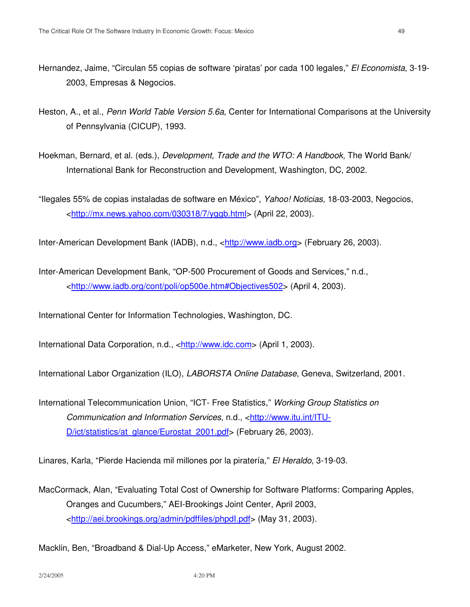- Hernandez, Jaime, "Circulan 55 copias de software 'piratas' por cada 100 legales," *El Economista*, 3-19- 2003, Empresas & Negocios.
- Heston, A., et al., *Penn World Table Version 5.6a*, Center for International Comparisons at the University of Pennsylvania (CICUP), 1993.
- Hoekman, Bernard, et al. (eds.), *Development, Trade and the WTO: A Handbook*, The World Bank/ International Bank for Reconstruction and Development, Washington, DC, 2002.
- "Ilegales 55% de copias instaladas de software en México", *Yahoo! Noticias*, 18-03-2003, Negocios, <http://mx.news.yahoo.com/030318/7/yggb.html> (April 22, 2003).

Inter-American Development Bank (IADB), n.d., <http://www.iadb.org> (February 26, 2003).

Inter-American Development Bank, "OP-500 Procurement of Goods and Services," n.d., <http://www.iadb.org/cont/poli/op500e.htm#Objectives502> (April 4, 2003).

International Center for Information Technologies, Washington, DC.

International Data Corporation, n.d., <http://www.idc.com> (April 1, 2003).

International Labor Organization (ILO), *LABORSTA Online Database*, Geneva, Switzerland, 2001.

International Telecommunication Union, "ICT- Free Statistics," *Working Group Statistics on Communication and Information Services*, n.d., <http://www.itu.int/ITU-D/ict/statistics/at\_glance/Eurostat\_2001.pdf> (February 26, 2003).

Linares, Karla, "Pierde Hacienda mil millones por la piratería," *El Heraldo*, 3-19-03.

MacCormack, Alan, "Evaluating Total Cost of Ownership for Software Platforms: Comparing Apples, Oranges and Cucumbers," AEI-Brookings Joint Center, April 2003, <http://aei.brookings.org/admin/pdffiles/phpdI.pdf> (May 31, 2003).

Macklin, Ben, "Broadband & Dial-Up Access," eMarketer, New York, August 2002.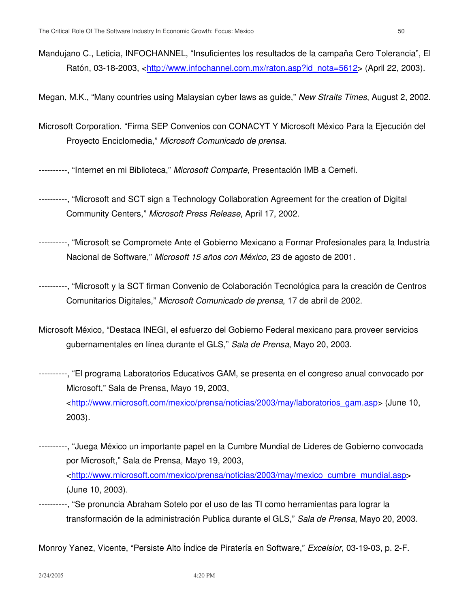Mandujano C., Leticia, INFOCHANNEL, "Insuficientes los resultados de la campaña Cero Tolerancia", El Ratón, 03-18-2003, <http://www.infochannel.com.mx/raton.asp?id\_nota=5612> (April 22, 2003).

Megan, M.K., "Many countries using Malaysian cyber laws as guide," *New Straits Times*, August 2, 2002.

Microsoft Corporation, "Firma SEP Convenios con CONACYT Y Microsoft México Para la Ejecución del Proyecto Enciclomedia," *Microsoft Comunicado de prensa*.

----------, "Internet en mi Biblioteca," *Microsoft Comparte,* Presentación IMB a Cemefi.

- ----------, "Microsoft and SCT sign a Technology Collaboration Agreement for the creation of Digital Community Centers," *Microsoft Press Release*, April 17, 2002.
- ----------, "Microsoft se Compromete Ante el Gobierno Mexicano a Formar Profesionales para la Industria Nacional de Software," *Microsoft 15 años con México*, 23 de agosto de 2001.
- ----------, "Microsoft y la SCT firman Convenio de Colaboración Tecnológica para la creación de Centros Comunitarios Digitales," *Microsoft Comunicado de prensa*, 17 de abril de 2002.
- Microsoft México, "Destaca INEGI, el esfuerzo del Gobierno Federal mexicano para proveer servicios gubernamentales en línea durante el GLS," *Sala de Prensa*, Mayo 20, 2003.
- ----------, "El programa Laboratorios Educativos GAM, se presenta en el congreso anual convocado por Microsoft," Sala de Prensa, Mayo 19, 2003, <http://www.microsoft.com/mexico/prensa/noticias/2003/may/laboratorios\_gam.asp> (June 10, 2003).
- ----------, "Juega México un importante papel en la Cumbre Mundial de Lideres de Gobierno convocada por Microsoft," Sala de Prensa, Mayo 19, 2003, <http://www.microsoft.com/mexico/prensa/noticias/2003/may/mexico\_cumbre\_mundial.asp> (June 10, 2003).
- ----------, "Se pronuncia Abraham Sotelo por el uso de las TI como herramientas para lograr la transformación de la administración Publica durante el GLS," *Sala de Prensa*, Mayo 20, 2003.

Monroy Yanez, Vicente, "Persiste Alto Índice de Piratería en Software," *Excelsior*, 03-19-03, p. 2-F.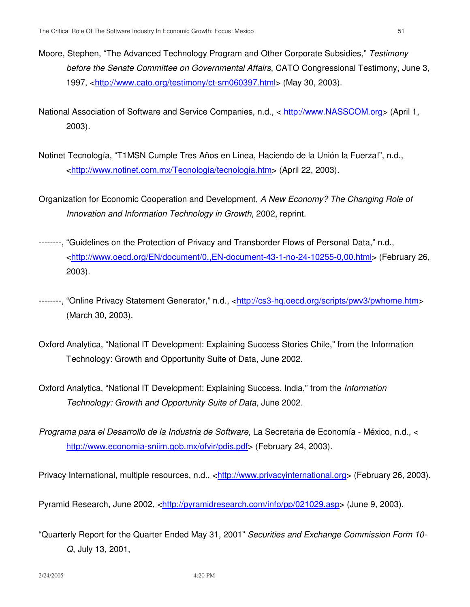- Moore, Stephen, "The Advanced Technology Program and Other Corporate Subsidies," *Testimony before the Senate Committee on Governmental Affairs*, CATO Congressional Testimony, June 3, 1997, <http://www.cato.org/testimony/ct-sm060397.html> (May 30, 2003).
- National Association of Software and Service Companies, n.d., < http://www.NASSCOM.org> (April 1, 2003).
- Notinet Tecnología, "T1MSN Cumple Tres Años en Línea, Haciendo de la Unión la Fuerza!", n.d., <http://www.notinet.com.mx/Tecnologia/tecnologia.htm> (April 22, 2003).
- Organization for Economic Cooperation and Development, *A New Economy? The Changing Role of Innovation and Information Technology in Growth*, 2002, reprint.
- --------, "Guidelines on the Protection of Privacy and Transborder Flows of Personal Data," n.d., <http://www.oecd.org/EN/document/0,,EN-document-43-1-no-24-10255-0,00.html> (February 26, 2003).
- --------, "Online Privacy Statement Generator," n.d., <http://cs3-hq.oecd.org/scripts/pwv3/pwhome.htm> (March 30, 2003).
- Oxford Analytica, "National IT Development: Explaining Success Stories Chile," from the Information Technology: Growth and Opportunity Suite of Data, June 2002.
- Oxford Analytica, "National IT Development: Explaining Success. India," from the *Information Technology: Growth and Opportunity Suite of Data*, June 2002.
- *Programa para el Desarrollo de la Industria de Software*, La Secretaria de Economía México, n.d., < http://www.economia-sniim.gob.mx/ofvir/pdis.pdf> (February 24, 2003).

Privacy International, multiple resources, n.d., <http://www.privacyinternational.org> (February 26, 2003).

Pyramid Research, June 2002, <http://pyramidresearch.com/info/pp/021029.asp> (June 9, 2003).

"Quarterly Report for the Quarter Ended May 31, 2001" *Securities and Exchange Commission Form 10- Q*, July 13, 2001,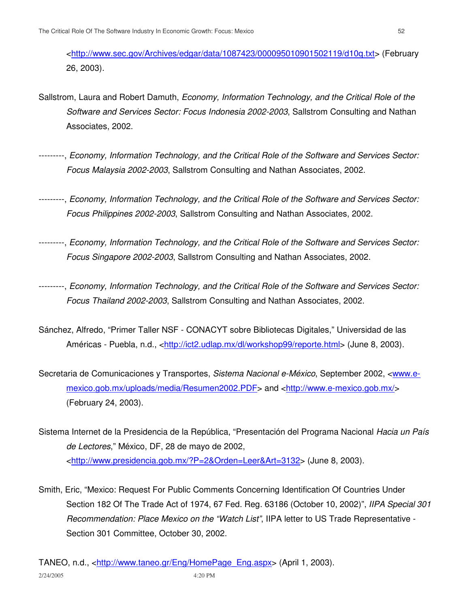<http://www.sec.gov/Archives/edgar/data/1087423/000095010901502119/d10q.txt> (February 26, 2003).

- Sallstrom, Laura and Robert Damuth, *Economy, Information Technology, and the Critical Role of the Software and Services Sector: Focus Indonesia 2002-2003*, Sallstrom Consulting and Nathan Associates, 2002.
- ---------, *Economy, Information Technology, and the Critical Role of the Software and Services Sector: Focus Malaysia 2002-2003*, Sallstrom Consulting and Nathan Associates, 2002.
- ---------, *Economy, Information Technology, and the Critical Role of the Software and Services Sector: Focus Philippines 2002-2003*, Sallstrom Consulting and Nathan Associates, 2002.
- ---------, *Economy, Information Technology, and the Critical Role of the Software and Services Sector: Focus Singapore 2002-2003*, Sallstrom Consulting and Nathan Associates, 2002.
- ---------, *Economy, Information Technology, and the Critical Role of the Software and Services Sector: Focus Thailand 2002-2003*, Sallstrom Consulting and Nathan Associates, 2002.
- Sánchez, Alfredo, "Primer Taller NSF CONACYT sobre Bibliotecas Digitales," Universidad de las Américas - Puebla, n.d., <http://ict2.udlap.mx/dl/workshop99/reporte.html> (June 8, 2003).
- Secretaria de Comunicaciones y Transportes, *Sistema Nacional e-México*, September 2002, <www.emexico.gob.mx/uploads/media/Resumen2002.PDF> and <http://www.e-mexico.gob.mx/> (February 24, 2003).
- Sistema Internet de la Presidencia de la República, "Presentación del Programa Nacional *Hacia un País de Lectores*," México, DF, 28 de mayo de 2002, <http://www.presidencia.gob.mx/?P=2&Orden=Leer&Art=3132> (June 8, 2003).
- Smith, Eric, "Mexico: Request For Public Comments Concerning Identification Of Countries Under Section 182 Of The Trade Act of 1974, 67 Fed. Reg. 63186 (October 10, 2002)", *IIPA Special 301 Recommendation: Place Mexico on the "Watch List"*, IIPA letter to US Trade Representative - Section 301 Committee, October 30, 2002.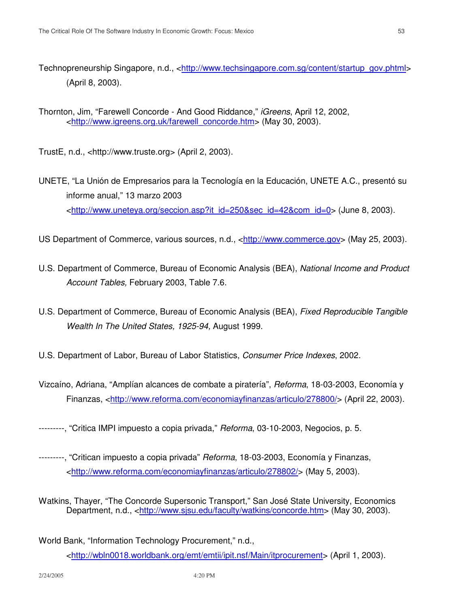Technopreneurship Singapore, n.d., <http://www.techsingapore.com.sg/content/startup\_gov.phtml> (April 8, 2003).

Thornton, Jim, "Farewell Concorde - And Good Riddance," *iGreens*, April 12, 2002, <http://www.igreens.org.uk/farewell\_concorde.htm> (May 30, 2003).

TrustE, n.d., <http://www.truste.org> (April 2, 2003).

- UNETE, "La Unión de Empresarios para la Tecnología en la Educación, UNETE A.C., presentó su informe anual," 13 marzo 2003 <http://www.uneteya.org/seccion.asp?it\_id=250&sec\_id=42&com\_id=0> (June 8, 2003).
- US Department of Commerce, various sources, n.d., <http://www.commerce.gov> (May 25, 2003).
- U.S. Department of Commerce, Bureau of Economic Analysis (BEA), *National Income and Product Account Tables,* February 2003, Table 7.6.
- U.S. Department of Commerce, Bureau of Economic Analysis (BEA), *Fixed Reproducible Tangible Wealth In The United States, 1925-94,* August 1999.
- U.S. Department of Labor, Bureau of Labor Statistics, *Consumer Price Indexes*, 2002.
- Vizcaíno, Adriana, "Amplían alcances de combate a piratería", *Reforma*, 18-03-2003, Economía y Finanzas, <http://www.reforma.com/economiayfinanzas/articulo/278800/> (April 22, 2003).
- ---------, "Critica IMPI impuesto a copia privada," *Reforma*, 03-10-2003, Negocios, p. 5.
- ---------, "Critican impuesto a copia privada" *Reforma*, 18-03-2003, Economía y Finanzas, <http://www.reforma.com/economiayfinanzas/articulo/278802/> (May 5, 2003).
- Watkins, Thayer, "The Concorde Supersonic Transport," San José State University, Economics Department, n.d., <http://www.sjsu.edu/faculty/watkins/concorde.htm> (May 30, 2003).
- World Bank, "Information Technology Procurement," n.d., <http://wbln0018.worldbank.org/emt/emtii/ipit.nsf/Main/itprocurement> (April 1, 2003).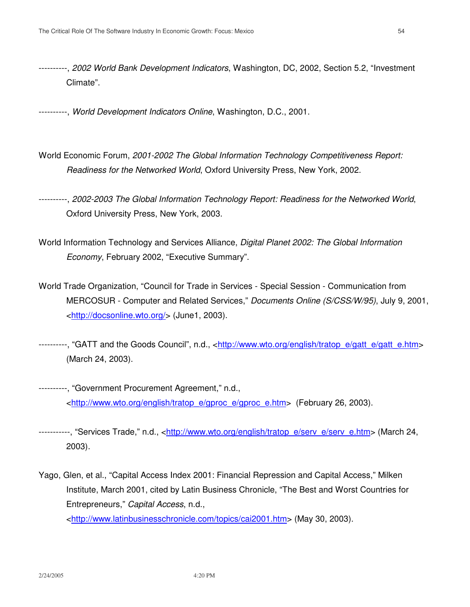- ----------, *2002 World Bank Development Indicators*, Washington, DC, 2002, Section 5.2, "Investment Climate".
- ----------, *World Development Indicators Online*, Washington, D.C., 2001.
- World Economic Forum, *2001-2002 The Global Information Technology Competitiveness Report: Readiness for the Networked World*, Oxford University Press, New York, 2002.
- ----------, *2002-2003 The Global Information Technology Report: Readiness for the Networked World*, Oxford University Press, New York, 2003.
- World Information Technology and Services Alliance, *Digital Planet 2002: The Global Information Economy*, February 2002, "Executive Summary".
- World Trade Organization, "Council for Trade in Services Special Session Communication from MERCOSUR - Computer and Related Services," *Documents Online (S/CSS/W/95)*, July 9, 2001, <http://docsonline.wto.org/> (June1, 2003).
- ----------, "GATT and the Goods Council", n.d., <http://www.wto.org/english/tratop\_e/gatt\_e/gatt\_e.htm> (March 24, 2003).
- ----------, "Government Procurement Agreement," n.d., <http://www.wto.org/english/tratop\_e/gproc\_e/gproc\_e.htm> (February 26, 2003).
- -----------, "Services Trade," n.d., <http://www.wto.org/english/tratop\_e/serv\_e/serv\_e.htm> (March 24, 2003).
- Yago, Glen, et al., "Capital Access Index 2001: Financial Repression and Capital Access," Milken Institute, March 2001, cited by Latin Business Chronicle, "The Best and Worst Countries for Entrepreneurs," *Capital Access*, n.d., <http://www.latinbusinesschronicle.com/topics/cai2001.htm> (May 30, 2003).